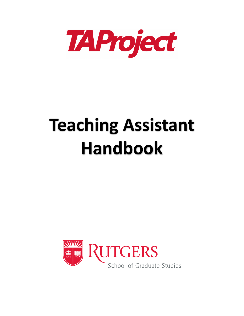

# **Teaching Assistant Handbook**

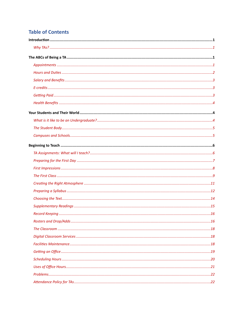# **Table of Contents**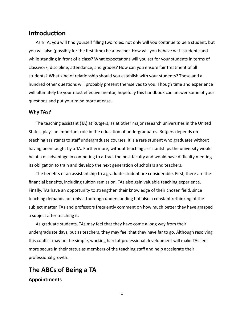### <span id="page-4-0"></span>**Introduction**

As a TA, you will find yourself filling two roles: not only will you continue to be a student, but you will also (possibly for the first time) be a teacher. How will you behave with students and while standing in front of a class? What expectations will you set for your students in terms of classwork, discipline, attendance, and grades? How can you ensure fair treatment of all students? What kind of relationship should you establish with your students? These and a hundred other questions will probably present themselves to you. Though time and experience will ultimately be your most effective mentor, hopefully this handbook can answer some of your questions and put your mind more at ease.

#### <span id="page-4-1"></span>Why TAs?

The teaching assistant (TA) at Rutgers, as at other major research universities in the United States, plays an important role in the education of undergraduates. Rutgers depends on teaching assistants to staff undergraduate courses. It is a rare student who graduates without having been taught by a TA. Furthermore, without teaching assistantships the university would be at a disadvantage in competing to attract the best faculty and would have difficulty meeting its obligation to train and develop the next generation of scholars and teachers.

The benefits of an assistantship to a graduate student are considerable. First, there are the financial benefits, including tuition remission. TAs also gain valuable teaching experience. Finally, TAs have an opportunity to strengthen their knowledge of their chosen field, since teaching demands not only a thorough understanding but also a constant rethinking of the subject matter. TAs and professors frequently comment on how much better they have grasped a subject after teaching it.

As graduate students, TAs may feel that they have come a long way from their undergraduate days, but as teachers, they may feel that they have far to go. Although resolving this conflict may not be simple, working hard at professional development will make TAs feel more secure in their status as members of the teaching staff and help accelerate their professional growth.

# <span id="page-4-2"></span>The ABCs of Being a TA

<span id="page-4-3"></span>**Appointments**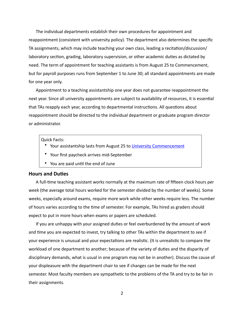The individual departments establish their own procedures for appointment and reappointment (consistent with university policy). The department also determines the specific TA assignments, which may include teaching your own class, leading a recitation/discussion/ laboratory section, grading, laboratory supervision, or other academic duties as dictated by need. The term of appointment for teaching assistants is from August 25 to Commencement, but for payroll purposes runs from September 1 to June 30; all standard appointments are made for one year only.

Appointment to a teaching assistantship one year does not guarantee reappointment the next year. Since all university appointments are subject to availability of resources, it is essential that TAs reapply each year, according to departmental instructions. All questions about reappointment should be directed to the individual department or graduate program director or administrator. 

#### Quick Facts:

- Your assistantship lasts from August 25 to University Commencement
- Your first paycheck arrives mid-September
- You are paid until the end of June

#### <span id="page-5-0"></span>**Hours and Duties**

A full-time teaching assistant works normally at the maximum rate of fifteen clock hours per week (the average total hours worked for the semester divided by the number of weeks). Some weeks, especially around exams, require more work while other weeks require less. The number of hours varies according to the time of semester. For example, TAs hired as graders should expect to put in more hours when exams or papers are scheduled.

If you are unhappy with your assigned duties or feel overburdened by the amount of work and time you are expected to invest, try talking to other TAs within the department to see if your experience is unusual and your expectations are realistic. (It is unrealistic to compare the workload of one department to another; because of the variety of duties and the disparity of disciplinary demands, what is usual in one program may not be in another). Discuss the cause of your displeasure with the department chair to see if changes can be made for the next semester. Most faculty members are sympathetic to the problems of the TA and try to be fair in their assignments.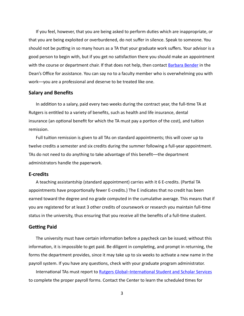If you feel, however, that you are being asked to perform duties which are inappropriate, or that you are being exploited or overburdened, do not suffer in silence. Speak to someone. You should not be putting in so many hours as a TA that your graduate work suffers. Your advisor is a good person to begin with, but if you get no satisfaction there you should make an appointment with the course or department chair. If that does not help, then contact **Barbara Bender** in the Dean's Office for assistance. You can say no to a faculty member who is overwhelming you with work—you are a professional and deserve to be treated like one.

#### <span id="page-6-0"></span>**Salary and Benefits**

In addition to a salary, paid every two weeks during the contract year, the full-time TA at Rutgers is entitled to a variety of benefits, such as health and life insurance, dental insurance (an optional benefit for which the TA must pay a portion of the cost), and tuition remission. 

Full tuition remission is given to all TAs on standard appointments; this will cover up to twelve credits a semester and six credits during the summer following a full-year appointment. TAs do not need to do anything to take advantage of this benefit—the department administrators handle the paperwork.

#### <span id="page-6-1"></span>**E-credits**

A teaching assistantship (standard appointment) carries with it 6 E-credits. (Partial TA appointments have proportionally fewer E-credits.) The E indicates that no credit has been earned toward the degree and no grade computed in the cumulative average. This means that if you are registered for at least 3 other credits of coursework or research you maintain full-time status in the university, thus ensuring that you receive all the benefits of a full-time student.

#### <span id="page-6-2"></span>**Getting Paid**

The university must have certain information before a paycheck can be issued; without this information, it is impossible to get paid. Be diligent in completing, and prompt in returning, the forms the department provides, since it may take up to six weeks to activate a new name in the payroll system. If you have any questions, check with your graduate program administrator.

International TAs must report to Rutgers Global–International Student and Scholar Services to complete the proper payroll forms. Contact the Center to learn the scheduled times for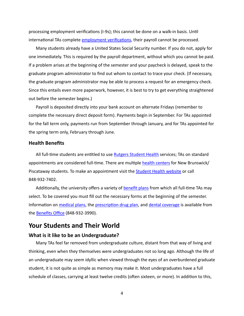processing employment verifications (I-9s); this cannot be done on a walk-in basis. Until international TAs complete **employment verifications**, their payroll cannot be processed.

Many students already have a United States Social Security number. If you do not, apply for one immediately. This is required by the payroll department, without which you cannot be paid. If a problem arises at the beginning of the semester and your paycheck is delayed, speak to the graduate program administrator to find out whom to contact to trace your check. (If necessary, the graduate program administrator may be able to process a request for an emergency check. Since this entails even more paperwork, however, it is best to try to get everything straightened out before the semester begins.)

Payroll is deposited directly into your bank account on alternate Fridays (remember to complete the necessary direct deposit form). Payments begin in September. For TAs appointed for the fall term only, payments run from September through January, and for TAs appointed for the spring term only, February through June.

#### <span id="page-7-0"></span>**Health Benefits**

All full-time students are entitled to use Rutgers Student Health services; TAs on standard appointments are considered full-time. There are multiple health centers for New Brunswick/ Piscataway students. To make an appointment visit the Student Health website or call 848-932-7402. 

Additionally, the university offers a variety of benefit plans from which all full-time TAs may select. To be covered you must fill out the necessary forms at the beginning of the semester. Information on medical plans, the prescription drug plan, and dental coverage is available from the Benefits Office (848-932-3990).

# <span id="page-7-1"></span>**Your Students and Their World**

#### <span id="page-7-2"></span>**What is it like to be an Undergraduate?**

Many TAs feel far removed from undergraduate culture, distant from that way of living and thinking, even when they themselves were undergraduates not so long ago. Although the life of an undergraduate may seem idyllic when viewed through the eyes of an overburdened graduate student, it is not quite as simple as memory may make it. Most undergraduates have a full schedule of classes, carrying at least twelve credits (often sixteen, or more). In addition to this,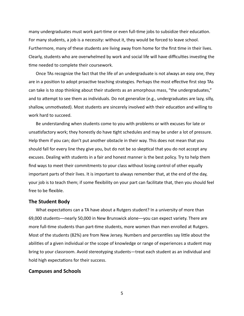many undergraduates must work part-time or even full-time jobs to subsidize their education. For many students, a job is a necessity: without it, they would be forced to leave school. Furthermore, many of these students are living away from home for the first time in their lives. Clearly, students who are overwhelmed by work and social life will have difficulties investing the time needed to complete their coursework.

Once TAs recognize the fact that the life of an undergraduate is not always an easy one, they are in a position to adopt proactive teaching strategies. Perhaps the most effective first step TAs can take is to stop thinking about their students as an amorphous mass, "the undergraduates," and to attempt to see them as individuals. Do not generalize (e.g., undergraduates are lazy, silly, shallow, unmotivated). Most students are sincerely involved with their education and willing to work hard to succeed.

Be understanding when students come to you with problems or with excuses for late or unsatisfactory work; they honestly do have tight schedules and may be under a lot of pressure. Help them if you can; don't put another obstacle in their way. This does not mean that you should fall for every line they give you, but do not be so skeptical that you do not accept any excuses. Dealing with students in a fair and honest manner is the best policy. Try to help them find ways to meet their commitments to your class without losing control of other equally important parts of their lives. It is important to always remember that, at the end of the day, your job is to teach them; if some flexibility on your part can facilitate that, then you should feel free to be flexible.

#### <span id="page-8-0"></span>**The Student Body**

What expectations can a TA have about a Rutgers student? In a university of more than 69,000 students—nearly 50,000 in New Brunswick alone—you can expect variety. There are more full-time students than part-time students, more women than men enrolled at Rutgers. Most of the students (82%) are from New Jersey. Numbers and percentiles say little about the abilities of a given individual or the scope of knowledge or range of experiences a student may bring to your classroom. Avoid stereotyping students—treat each student as an individual and hold high expectations for their success.

#### <span id="page-8-1"></span>**Campuses and Schools**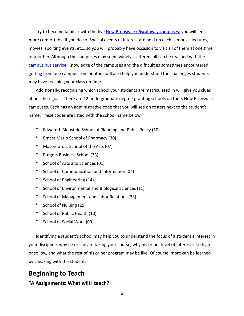Try to become familiar with the five New Brunswick/Piscataway campuses; you will feel more comfortable if you do so. Special events of interest are held on each campus—lectures, movies, sporting events, etc., so you will probably have occasion to visit all of them at one time or another. Although the campuses may seem widely scattered, all can be reached with the campus bus service. Knowledge of the campuses and the difficulties sometimes encountered getting from one campus from another will also help you understand the challenges students may have reaching your class on time.

Additionally, recognizing which school your students are matriculated in will give you clues about their goals. There are 12 undergraduate degree-granting schools on the 5 New Brunswick campuses. Each has an administrative code that you will see on rosters next to the student's name. These codes are listed with the school name below.

- Edward J. Bloustein School of Planning and Public Policy (10)
- Ernest Mario School of Pharmacy (30)
- Mason Gross School of the Arts (07)
- Rutgers Business School (33)
- School of Arts and Sciences (01)
- School of Communication and Information (04)
- School of Engineering (14)
- School of Environmental and Biological Sciences (11)
- School of Management and Labor Relations (33)
- School of Nursing (25)
- School of Public Health (10)
- School of Social Work (09)

Identifying a student's school may help you to understand the focus of a student's interest in your discipline: why he or she are taking your course, why his or her level of interest is so high or so low, and what the rest of his or her program may be like. Of course, more can be learned by speaking with the student.

# <span id="page-9-0"></span>**Beginning to Teach**

#### <span id="page-9-1"></span>**TA Assignments: What will I teach?**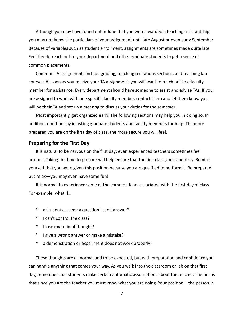Although you may have found out in June that you were awarded a teaching assistantship, you may not know the particulars of your assignment until late August or even early September. Because of variables such as student enrollment, assignments are sometimes made quite late. Feel free to reach out to your department and other graduate students to get a sense of common placements.

Common TA assignments include grading, teaching recitations sections, and teaching lab courses. As soon as you receive your TA assignment, you will want to reach out to a faculty member for assistance. Every department should have someone to assist and advise TAs. If you are assigned to work with one specific faculty member, contact them and let them know you will be their TA and set up a meeting to discuss your duties for the semester.

Most importantly, get organized early. The following sections may help you in doing so. In addition, don't be shy in asking graduate students and faculty members for help. The more prepared you are on the first day of class, the more secure you will feel.

#### <span id="page-10-0"></span>**Preparing for the First Day**

It is natural to be nervous on the first day; even experienced teachers sometimes feel anxious. Taking the time to prepare will help ensure that the first class goes smoothly. Remind yourself that you were given this position because you are qualified to perform it. Be prepared but relax—you may even have some fun!

It is normal to experience some of the common fears associated with the first day of class. For example, what if...

- a student asks me a question I can't answer?
- I can't control the class?
- I lose my train of thought?
- I give a wrong answer or make a mistake?
- a demonstration or experiment does not work properly?

These thoughts are all normal and to be expected, but with preparation and confidence you can handle anything that comes your way. As you walk into the classroom or lab on that first day, remember that students make certain automatic assumptions about the teacher. The first is that since you are the teacher you must know what you are doing. Your position—the person in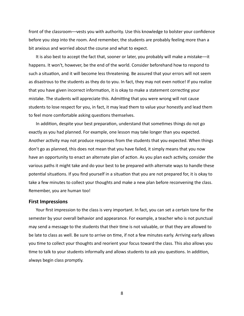front of the classroom—vests you with authority. Use this knowledge to bolster your confidence before you step into the room. And remember, the students are probably feeling more than a bit anxious and worried about the course and what to expect.

It is also best to accept the fact that, sooner or later, you probably will make a mistake—it happens. It won't, however, be the end of the world. Consider beforehand how to respond to such a situation, and it will become less threatening. Be assured that your errors will not seem as disastrous to the students as they do to you. In fact, they may not even notice! If you realize that you have given incorrect information, it is okay to make a statement correcting your mistake. The students will appreciate this. Admitting that you were wrong will not cause students to lose respect for you, in fact, it may lead them to value your honestly and lead them to feel more comfortable asking questions themselves.

In addition, despite your best preparation, understand that sometimes things do not go exactly as you had planned. For example, one lesson may take longer than you expected. Another activity may not produce responses from the students that you expected. When things don't go as planned, this does not mean that you have failed, it simply means that you now have an opportunity to enact an alternate plan of action. As you plan each activity, consider the various paths it might take and do your best to be prepared with alternate ways to handle these potential situations. If you find yourself in a situation that you are not prepared for, it is okay to take a few minutes to collect your thoughts and make a new plan before reconvening the class. Remember, you are human too!

#### <span id="page-11-0"></span>**First Impressions**

Your first impression to the class is very important. In fact, you can set a certain tone for the semester by your overall behavior and appearance. For example, a teacher who is not punctual may send a message to the students that their time is not valuable, or that they are allowed to be late to class as well. Be sure to arrive on time, if not a few minutes early. Arriving early allows you time to collect your thoughts and reorient your focus toward the class. This also allows you time to talk to your students informally and allows students to ask you questions. In addition, always begin class promptly.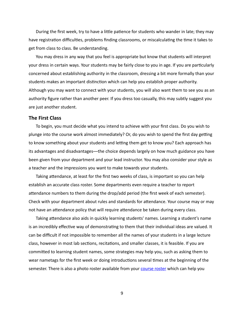During the first week, try to have a little patience for students who wander in late; they may have registration difficulties, problems finding classrooms, or miscalculating the time it takes to get from class to class. Be understanding.

You may dress in any way that you feel is appropriate but know that students will interpret your dress in certain ways. Your students may be fairly close to you in age. If you are particularly concerned about establishing authority in the classroom, dressing a bit more formally than your students makes an important distinction which can help you establish proper authority. Although you may want to connect with your students, you will also want them to see you as an authority figure rather than another peer. If you dress too casually, this may subtly suggest you are just another student.

#### <span id="page-12-0"></span>**The First Class**

To begin, you must decide what you intend to achieve with your first class. Do you wish to plunge into the course work almost immediately? Or, do you wish to spend the first day getting to know something about your students and letting them get to know you? Each approach has its advantages and disadvantages—the choice depends largely on how much guidance you have been given from your department and your lead instructor. You may also consider your style as a teacher and the impressions you want to make towards your students.

Taking attendance, at least for the first two weeks of class, is important so you can help establish an accurate class roster. Some departments even require a teacher to report attendance numbers to them during the drop/add period (the first week of each semester). Check with your department about rules and standards for attendance. Your course may or may not have an attendance policy that will require attendance be taken during every class.

Taking attendance also aids in quickly learning students' names. Learning a student's name is an incredibly effective way of demonstrating to them that their individual ideas are valued. It can be difficult if not impossible to remember all the names of your students in a large lecture class, however in most lab sections, recitations, and smaller classes, it is feasible. If you are committed to learning student names, some strategies may help you, such as asking them to wear nametags for the first week or doing introductions several times at the beginning of the semester. There is also a photo roster available from your course roster which can help you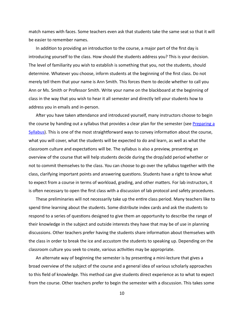match names with faces. Some teachers even ask that students take the same seat so that it will be easier to remember names.

In addition to providing an introduction to the course, a major part of the first day is introducing yourself to the class. How should the students address you? This is your decision. The level of familiarity you wish to establish is something that you, not the students, should determine. Whatever you choose, inform students at the beginning of the first class. Do not merely tell them that your name is Ann Smith. This forces them to decide whether to call you Ann or Ms. Smith or Professor Smith. Write your name on the blackboard at the beginning of class in the way that you wish to hear it all semester and directly tell your students how to address you in emails and in-person.

After you have taken attendance and introduced yourself, many instructors choose to begin the course by handing out a syllabus that provides a clear plan for the semester (see Preparing a [Syllabus](#page-15-1)). This is one of the most straightforward ways to convey information about the course, what you will cover, what the students will be expected to do and learn, as well as what the classroom culture and expectations will be. The syllabus is also a preview, presenting an overview of the course that will help students decide during the drop/add period whether or not to commit themselves to the class. You can choose to go over the syllabus together with the class, clarifying important points and answering questions. Students have a right to know what to expect from a course in terms of workload, grading, and other matters. For lab instructors, it is often necessary to open the first class with a discussion of lab protocol and safety procedures.

These preliminaries will not necessarily take up the entire class period. Many teachers like to spend time learning about the students. Some distribute index cards and ask the students to respond to a series of questions designed to give them an opportunity to describe the range of their knowledge in the subject and outside interests they have that may be of use in planning discussions. Other teachers prefer having the students share information about themselves with the class in order to break the ice and accustom the students to speaking up. Depending on the classroom culture you seek to create, various activities may be appropriate.

An alternate way of beginning the semester is by presenting a mini-lecture that gives a broad overview of the subject of the course and a general idea of various scholarly approaches to this field of knowledge. This method can give students direct experience as to what to expect from the course. Other teachers prefer to begin the semester with a discussion. This takes some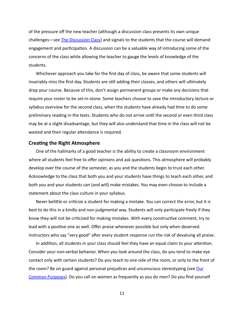of the pressure off the new teacher (although a discussion class presents its own unique challenges—see **The Discussion Class**) and signals to the students that the course will demand engagement and participation. A discussion can be a valuable way of introducing some of the concerns of the class while allowing the teacher to gauge the levels of knowledge of the students. 

Whichever approach you take for the first day of class, be aware that some students will invariably miss the first day. Students are still adding their classes, and others will ultimately drop your course. Because of this, don't assign permanent groups or make any decisions that require your roster to be set-in-stone. Some teachers choose to save the introductory lecture or syllabus overview for the second class, when the students have already had time to do some preliminary reading in the texts. Students who do not arrive until the second or even third class may be at a slight disadvantage, but they will also understand that time in the class will not be wasted and their regular attendance is required.

#### <span id="page-14-0"></span>**Creating the Right Atmosphere**

One of the hallmarks of a good teacher is the ability to create a classroom environment where all students feel free to offer opinions and ask questions. This atmosphere will probably develop over the course of the semester, as you and the students begin to trust each other. Acknowledge to the class that both you and your students have things to teach each other, and both you and your students can (and will) make mistakes. You may even choose to include a statement about the class culture in your syllabus.

Never belittle or criticize a student for making a mistake. You can correct the error, but it is best to do this in a kindly and non-judgmental way. Students will only participate freely if they know they will not be criticized for making mistakes. With every constructive comment, try to lead with a positive one as well. Offer praise whenever possible but only when deserved. Instructors who say "very good" after every student response run the risk of devaluing all praise.

In addition, all students in your class should feel they have an equal claim to your attention. Consider your non-verbal behavior. When you look around the class, do you tend to make eye contact only with certain students? Do you teach to one side of the room, or only to the front of the room? Be on guard against personal prejudices and unconscious stereotyping (see Our Common Purposes). Do you call on women as frequently as you do men? Do you find yourself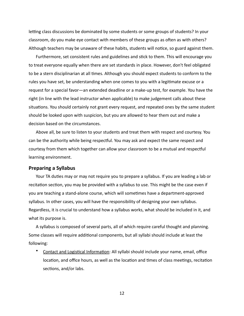letting class discussions be dominated by some students or some groups of students? In your classroom, do you make eye contact with members of these groups as often as with others? Although teachers may be unaware of these habits, students will notice, so guard against them.

Furthermore, set consistent rules and guidelines and stick to them. This will encourage you to treat everyone equally when there are set standards in place. However, don't feel obligated to be a stern disciplinarian at all times. Although you should expect students to conform to the rules you have set, be understanding when one comes to you with a legitimate excuse or a request for a special favor—an extended deadline or a make-up test, for example. You have the right (in line with the lead instructor when applicable) to make judgement calls about these situations. You should certainly not grant every request, and repeated ones by the same student should be looked upon with suspicion, but you are allowed to hear them out and make a decision based on the circumstances.

Above all, be sure to listen to your students and treat them with respect and courtesy. You can be the authority while being respectful. You may ask and expect the same respect and courtesy from them which together can allow your classroom to be a mutual and respectful learning environment.

#### <span id="page-15-1"></span><span id="page-15-0"></span>**Preparing a Syllabus**

Your TA duties may or may not require you to prepare a syllabus. If you are leading a lab or recitation section, you may be provided with a syllabus to use. This might be the case even if you are teaching a stand-alone course, which will sometimes have a department-approved syllabus. In other cases, you will have the responsibility of designing your own syllabus. Regardless, it is crucial to understand how a syllabus works, what should be included in it, and what its purpose is.

A syllabus is composed of several parts, all of which require careful thought and planning. Some classes will require additional components, but all syllabi should include at least the following: 

Contact and Logistical Information: All syllabi should include your name, email, office location, and office hours, as well as the location and times of class meetings, recitation sections, and/or labs.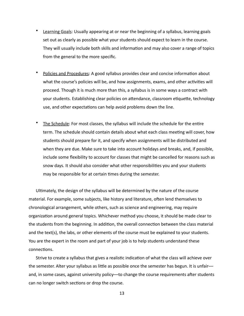- **Learning Goals:** Usually appearing at or near the beginning of a syllabus, learning goals set out as clearly as possible what your students should expect to learn in the course. They will usually include both skills and information and may also cover a range of topics from the general to the more specific.
- Policies and Procedures: A good syllabus provides clear and concise information about what the course's policies will be, and how assignments, exams, and other activities will proceed. Though it is much more than this, a syllabus is in some ways a contract with your students. Establishing clear policies on attendance, classroom etiquette, technology use, and other expectations can help avoid problems down the line.
- The Schedule: For most classes, the syllabus will include the schedule for the entire term. The schedule should contain details about what each class meeting will cover, how students should prepare for it, and specify when assignments will be distributed and when they are due. Make sure to take into account holidays and breaks, and, if possible, include some flexibility to account for classes that might be cancelled for reasons such as snow days. It should also consider what other responsibilities you and your students may be responsible for at certain times during the semester.

Ultimately, the design of the syllabus will be determined by the nature of the course material. For example, some subjects, like history and literature, often lend themselves to chronological arrangement, while others, such as science and engineering, may require organization around general topics. Whichever method you choose, it should be made clear to the students from the beginning. In addition, the overall connection between the class material and the text(s), the labs, or other elements of the course must be explained to your students. You are the expert in the room and part of your job is to help students understand these connections.

Strive to create a syllabus that gives a realistic indication of what the class will achieve over the semester. Alter your syllabus as little as possible once the semester has begun. It is unfair and, in some cases, against university policy—to change the course requirements after students can no longer switch sections or drop the course.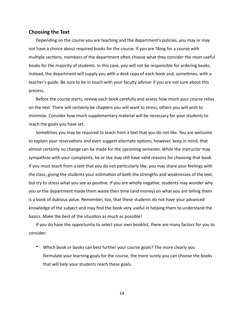#### <span id="page-17-0"></span>**Choosing the Text**

Depending on the course you are teaching and the department's policies, you may or may not have a choice about required books for the course. If you are TAing for a course with multiple sections, members of the department often choose what they consider the most useful books for the majority of students. In this case, you will not be responsible for ordering books. Instead, the department will supply you with a desk copy of each book and, sometimes, with a teacher's guide. Be sure to be in touch with your faculty advisor if you are not sure about this process. 

Before the course starts, review each book carefully and assess how much your course relies on the text. There will certainly be chapters you will want to stress, others you will wish to minimize. Consider how much supplementary material will be necessary for your students to reach the goals you have set.

Sometimes you may be required to teach from a text that you do not like. You are welcome to explain your reservations and even suggest alternate options, however, keep in mind, that almost certainly no change can be made for the upcoming semester. While the instructor may sympathize with your complaints, he or she may still have valid reasons for choosing that book. If you must teach from a text that you do not particularly like, you may share your feelings with the class, giving the students your estimation of both the strengths and weaknesses of the text, but try to stress what you see as positive. If you are wholly negative, students may wonder why you or the department made them waste their time (and money) on what you are telling them is a book of dubious value. Remember, too, that these students do not have your advanced knowledge of the subject and may find the book very useful in helping them to understand the basics. Make the best of the situation as much as possible!

If you do have the opportunity to select your own booklist, there are many factors for you to consider: 

Which book or books can best further your course goals? The more clearly you formulate your learning goals for the course, the more surely you can choose the books that will help your students reach these goals.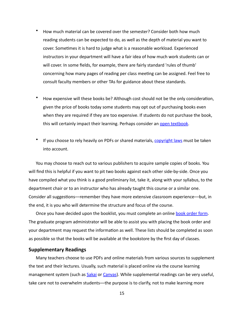- How much material can be covered over the semester? Consider both how much reading students can be expected to do, as well as the depth of material you want to cover. Sometimes it is hard to judge what is a reasonable workload. Experienced instructors in your department will have a fair idea of how much work students can or will cover. In some fields, for example, there are fairly standard 'rules of thumb' concerning how many pages of reading per class meeting can be assigned. Feel free to consult faculty members or other TAs for guidance about these standards.
- How expensive will these books be? Although cost should not be the only consideration, given the price of books today some students may opt out of purchasing books even when they are required if they are too expensive. If students do not purchase the book, this will certainly impact their learning. Perhaps consider an open textbook.
- If you choose to rely heavily on PDFs or shared materials, copyright laws must be taken into account.

You may choose to reach out to various publishers to acquire sample copies of books. You will find this is helpful if you want to pit two books against each other side-by-side. Once you have compiled what you think is a good preliminary list, take it, along with your syllabus, to the department chair or to an instructor who has already taught this course or a similar one. Consider all suggestions—remember they have more extensive classroom experience—but, in the end, it is you who will determine the structure and focus of the course.

Once you have decided upon the booklist, you must complete an online book order form. The graduate program administrator will be able to assist you with placing the book order and your department may request the information as well. These lists should be completed as soon as possible so that the books will be available at the bookstore by the first day of classes.

#### <span id="page-18-0"></span>**Supplementary Readings**

Many teachers choose to use PDFs and online materials from various sources to supplement the text and their lectures. Usually, such material is placed online via the course learning management system (such as **Sakai or Canyas**). While supplemental readings can be very useful, take care not to overwhelm students—the purpose is to clarify, not to make learning more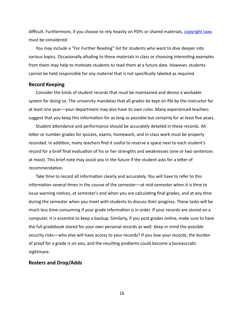difficult. Furthermore, if you choose to rely heavily on PDFs or shared materials, copyright laws must be considered.

You may include a "For Further Reading" list for students who want to dive deeper into various topics. Occasionally alluding to these materials in class or choosing interesting examples from them may help to motivate students to read them at a future date. However, students cannot be held responsible for any material that is not specifically labeled as required.

#### <span id="page-19-0"></span>**Record Keeping**

Consider the kinds of student records that must be maintained and devise a workable system for doing so. The university mandates that all grades be kept on file by the instructor for at least one year—your department may also have its own rules. Many experienced teachers suggest that you keep this information for as long as possible but certainly for at least five years.

Student attendance and performance should be accurately detailed in these records. All letter or number grades for quizzes, exams, homework, and in-class work must be properly recorded. In addition, many teachers find it useful to reserve a space next to each student's record for a brief final evaluation of his or her strengths and weaknesses (one or two sentences at most). This brief note may assist you in the future if the student asks for a letter of recommendation.

Take time to record all information clearly and accurately. You will have to refer to this information several times in the course of the semester--at mid-semester when it is time to issue warning notices, at semester's end when you are calculating final grades, and at any time during the semester when you meet with students to discuss their progress. These tasks will be much less time-consuming if your grade information is in order. If your records are stored on a computer, it is essential to keep a backup. Similarly, if you post grades online, make sure to have the full gradebook stored for your own personal records as well. Keep in mind the possible security risks---who else will have access to your records? If you lose your records, the burden of proof for a grade is on you, and the resulting problems could become a bureaucratic nightmare. 

#### <span id="page-19-1"></span>**Rosters and Drop/Adds**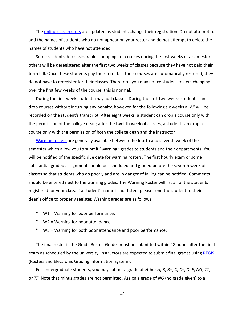The **online class rosters are** updated as students change their registration. Do not attempt to add the names of students who do not appear on your roster and do not attempt to delete the names of students who have not attended.

Some students do considerable 'shopping' for courses during the first weeks of a semester; others will be deregistered after the first two weeks of classes because they have not paid their term bill. Once these students pay their term bill, their courses are automatically restored; they do not have to reregister for their classes. Therefore, you may notice student rosters changing over the first few weeks of the course; this is normal.

During the first week students may add classes. During the first two weeks students can drop courses without incurring any penalty, however, for the following six weeks a 'W' will be recorded on the student's transcript. After eight weeks, a student can drop a course only with the permission of the college dean; after the twelfth week of classes, a student can drop a course only with the permission of both the college dean and the instructor.

Warning rosters are generally available between the fourth and seventh week of the semester which allow you to submit "warning" grades to students and their departments. You will be notified of the specific due date for warning rosters. The first hourly exam or some substantial graded assignment should be scheduled and graded before the seventh week of classes so that students who do poorly and are in danger of failing can be notified. Comments should be entered next to the warning grades. The Warning Roster will list all of the students registered for your class. If a student's name is not listed, please send the student to their dean's office to properly register. Warning grades are as follows:

- W1 = Warning for poor performance;
- $W2 = Warning for poor attendance;$
- W3 = Warning for both poor attendance and poor performance;

The final roster is the Grade Roster. Grades must be submitted within 48 hours after the final exam as scheduled by the university. Instructors are expected to submit final grades using [REGIS](https://sims.rutgers.edu/rosters/) (Rosters and Electronic Grading Information System).

For undergraduate students, you may submit a grade of either *A*, *B*, *B*+, *C*, *C*+, *D*, *F*, *NG*, *TZ*, or *TF*. Note that minus grades are not permitted. Assign a grade of *NG* (no grade given) to a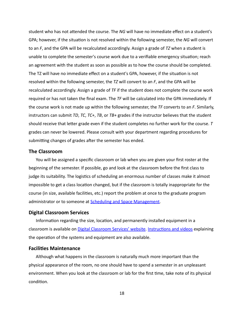student who has not attended the course. The *NG* will have no immediate effect on a student's GPA; however, if the situation is not resolved within the following semester, the NG will convert to an *F*, and the GPA will be recalculated accordingly. Assign a grade of *TZ* when a student is unable to complete the semester's course work due to a verifiable emergency situation; reach an agreement with the student as soon as possible as to how the course should be completed. The TZ will have no immediate effect on a student's GPA, however, if the situation is not resolved within the following semester, the *TZ* will convert to an *F*, and the GPA will be recalculated accordingly. Assign a grade of TF if the student does not complete the course work required or has not taken the final exam. The TF will be calculated into the GPA immediately. If the course work is not made up within the following semester, the TF converts to an F. Similarly, instructors can submit *TD*, *TC*, *TC*+, *TB*, or *TB*+ grades if the instructor believes that the student should receive that letter grade even if the student completes no further work for the course. *T* grades can never be lowered. Please consult with your department regarding procedures for submitting changes of grades after the semester has ended.

#### <span id="page-21-0"></span>**The Classroom**

You will be assigned a specific classroom or lab when you are given your first roster at the beginning of the semester. If possible, go and look at the classroom before the first class to judge its suitability. The logistics of scheduling an enormous number of classes make it almost impossible to get a class location changed, but if the classroom is totally inappropriate for the course (in size, available facilities, etc.) report the problem at once to the graduate program administrator or to someone at **Scheduling and Space Management**.

#### <span id="page-21-1"></span>**Digital Classroom Services**

Information regarding the size, location, and permanently installed equipment in a classroom is available on Digital Classroom Services' website. Instructions and videos explaining the operation of the systems and equipment are also available.

#### <span id="page-21-2"></span>**Facilities Maintenance**

Although what happens in the classroom is naturally much more important than the physical appearance of the room, no one should have to spend a semester in an unpleasant environment. When you look at the classroom or lab for the first time, take note of its physical condition.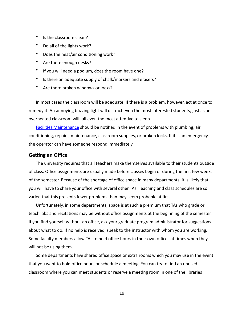- Is the classroom clean?
- Do all of the lights work?
- Does the heat/air conditioning work?
- Are there enough desks?
- If you will need a podium, does the room have one?
- Is there an adequate supply of chalk/markers and erasers?
- Are there broken windows or locks?

In most cases the classroom will be adequate. If there is a problem, however, act at once to remedy it. An annoying buzzing light will distract even the most interested students, just as an overheated classroom will lull even the most attentive to sleep.

Facilities Maintenance should be notified in the event of problems with plumbing, air conditioning, repairs, maintenance, classroom supplies, or broken locks. If it is an emergency, the operator can have someone respond immediately.

#### <span id="page-22-0"></span>**Getting an Office**

The university requires that all teachers make themselves available to their students outside of class. Office assignments are usually made before classes begin or during the first few weeks of the semester. Because of the shortage of office space in many departments, it is likely that you will have to share your office with several other TAs. Teaching and class schedules are so varied that this presents fewer problems than may seem probable at first.

Unfortunately, in some departments, space is at such a premium that TAs who grade or teach labs and recitations may be without office assignments at the beginning of the semester. If you find yourself without an office, ask your graduate program administrator for suggestions about what to do. If no help is received, speak to the instructor with whom you are working. Some faculty members allow TAs to hold office hours in their own offices at times when they will not be using them.

Some departments have shared office space or extra rooms which you may use in the event that you want to hold office hours or schedule a meeting. You can try to find an unused classroom where you can meet students or reserve a meeting room in one of the libraries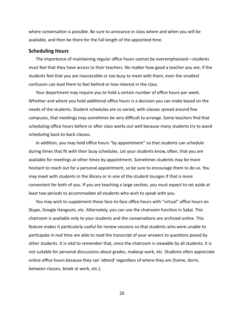where conversation is possible. Be sure to announce in class where and when you will be available, and then be there for the full length of the appointed time.

#### <span id="page-23-0"></span>**Scheduling Hours**

The importance of maintaining regular office hours cannot be overemphasized—students must feel that they have access to their teachers. No matter how good a teacher you are, if the students feel that you are inaccessible or too busy to meet with them, even the smallest confusion can lead them to feel behind or lose interest in the class.

Your department may require you to hold a certain number of office hours per week. Whether and where you hold additional office hours is a decision you can make based on the needs of the students. Student schedules are so varied, with classes spread around five campuses, that meetings may sometimes be very difficult to arrange. Some teachers find that scheduling office hours before or after class works out well because many students try to avoid scheduling back-to-back classes.

In addition, you may hold office hours "by appointment" so that students can schedule during times that fit with their busy schedules. Let your students know, often, that you are available for meetings at other times by appointment. Sometimes students may be more hesitant to reach out for a personal appointment, so be sure to encourage them to do so. You may meet with students in the library or in one of the student lounges if that is more convenient for both of you. If you are teaching a large section, you must expect to set aside at least two periods to accommodate all students who wish to speak with you.

You may wish to supplement these face-to-face office hours with "virtual" office hours on Skype, Google Hangouts, etc. Alternately, you can use the chatroom function in Sakai. This chatroom is available only to your students and the conversations are archived online. This feature makes it particularly useful for review sessions so that students who were unable to participate in real time are able to read the transcript of your answers to questions posed by other students. It is vital to remember that, since the chatroom is viewable by all students, it is not suitable for personal discussions about grades, makeup work, etc. Students often appreciate online office hours because they can 'attend' regardless of where they are (home, dorm, between classes, break at work, etc.).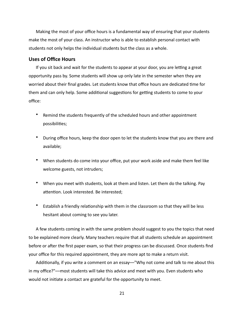Making the most of your office hours is a fundamental way of ensuring that your students make the most of your class. An instructor who is able to establish personal contact with students not only helps the individual students but the class as a whole.

#### <span id="page-24-0"></span>**Uses of Office Hours**

If you sit back and wait for the students to appear at your door, you are letting a great opportunity pass by. Some students will show up only late in the semester when they are worried about their final grades. Let students know that office hours are dedicated time for them and can only help. Some additional suggestions for getting students to come to your office: 

- Remind the students frequently of the scheduled hours and other appointment possibilities;
- During office hours, keep the door open to let the students know that you are there and available;
- When students do come into your office, put your work aside and make them feel like welcome guests, not intruders;
- When you meet with students, look at them and listen. Let them do the talking. Pay attention. Look interested. Be interested;
- Establish a friendly relationship with them in the classroom so that they will be less hesitant about coming to see you later.

A few students coming in with the same problem should suggest to you the topics that need to be explained more clearly. Many teachers require that all students schedule an appointment before or after the first paper exam, so that their progress can be discussed. Once students find your office for this required appointment, they are more apt to make a return visit.

Additionally, if you write a comment on an essay—"Why not come and talk to me about this in my office?"--most students will take this advice and meet with you. Even students who would not initiate a contact are grateful for the opportunity to meet.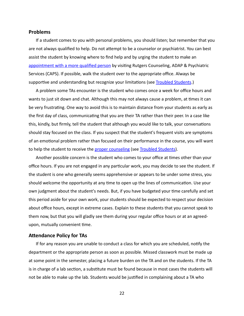#### <span id="page-25-0"></span>**Problems**

If a student comes to you with personal problems, you should listen; but remember that you are not always qualified to help. Do not attempt to be a counselor or psychiatrist. You can best assist the student by knowing where to find help and by urging the student to make an appointment with a more qualified person by visiting Rutgers Counseling, ADAP & Psychiatric Services (CAPS). If possible, walk the student over to the appropriate office. Always be supportive and understanding but recognize your limitations (see Troubled Students.)

A problem some TAs encounter is the student who comes once a week for office hours and wants to just sit down and chat. Although this may not always cause a problem, at times it can be very frustrating. One way to avoid this is to maintain distance from your students as early as the first day of class, communicating that you are their TA rather than their peer. In a case like this, kindly, but firmly, tell the student that although you would like to talk, your conversations should stay focused on the class. If you suspect that the student's frequent visits are symptoms of an emotional problem rather than focused on their performance in the course, you will want to help the student to receive the proper counseling (see Troubled Students).

Another possible concern is the student who comes to your office at times other than your office hours. If you are not engaged in any particular work, you may decide to see the student. If the student is one who generally seems apprehensive or appears to be under some stress, you should welcome the opportunity at any time to open up the lines of communication. Use your own judgment about the student's needs. But, if you have budgeted your time carefully and set this period aside for your own work, your students should be expected to respect your decision about office hours, except in extreme cases. Explain to these students that you cannot speak to them now, but that you will gladly see them during your regular office hours or at an agreedupon, mutually convenient time.

#### <span id="page-25-1"></span>**Attendance Policy for TAs**

If for any reason you are unable to conduct a class for which you are scheduled, notify the department or the appropriate person as soon as possible. Missed classwork must be made up at some point in the semester, placing a future burden on the TA and on the students. If the TA is in charge of a lab section, a substitute must be found because in most cases the students will not be able to make up the lab. Students would be justified in complaining about a TA who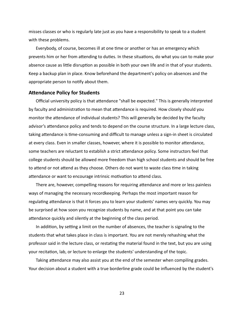misses classes or who is regularly late just as you have a responsibility to speak to a student with these problems.

Everybody, of course, becomes ill at one time or another or has an emergency which prevents him or her from attending to duties. In these situations, do what you can to make your absence cause as little disruption as possible in both your own life and in that of your students. Keep a backup plan in place. Know beforehand the department's policy on absences and the appropriate person to notify about them.

#### <span id="page-26-0"></span>**Attendance Policy for Students**

Official university policy is that attendance "shall be expected." This is generally interpreted by faculty and administration to mean that attendance is required. How closely should you monitor the attendance of individual students? This will generally be decided by the faculty advisor's attendance policy and tends to depend on the course structure. In a large lecture class, taking attendance is time-consuming and difficult to manage unless a sign-in sheet is circulated at every class. Even in smaller classes, however, where it is possible to monitor attendance, some teachers are reluctant to establish a strict attendance policy. Some instructors feel that college students should be allowed more freedom than high school students and should be free to attend or not attend as they choose. Others do not want to waste class time in taking attendance or want to encourage intrinsic motivation to attend class.

There are, however, compelling reasons for requiring attendance and more or less painless ways of managing the necessary recordkeeping. Perhaps the most important reason for regulating attendance is that it forces you to learn your students' names very quickly. You may be surprised at how soon you recognize students by name, and at that point you can take attendance quickly and silently at the beginning of the class period.

In addition, by setting a limit on the number of absences, the teacher is signaling to the students that what takes place in class is important. You are not merely rehashing what the professor said in the lecture class, or restating the material found in the text, but you are using your recitation, lab, or lecture to enlarge the students' understanding of the topic.

Taking attendance may also assist you at the end of the semester when compiling grades. Your decision about a student with a true borderline grade could be influenced by the student's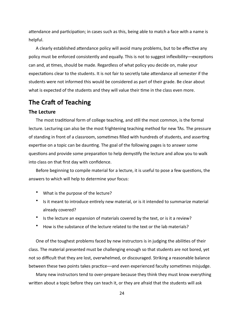attendance and participation; in cases such as this, being able to match a face with a name is helpful. 

A clearly established attendance policy will avoid many problems, but to be effective any policy must be enforced consistently and equally. This is not to suggest inflexibility—exceptions can and, at times, should be made. Regardless of what policy you decide on, make your expectations clear to the students. It is not fair to secretly take attendance all semester if the students were not informed this would be considered as part of their grade. Be clear about what is expected of the students and they will value their time in the class even more.

# <span id="page-27-0"></span>**The Craft of Teaching**

#### <span id="page-27-1"></span>**The Lecture**

The most traditional form of college teaching, and still the most common, is the formal lecture. Lecturing can also be the most frightening teaching method for new TAs. The pressure of standing in front of a classroom, sometimes filled with hundreds of students, and asserting expertise on a topic can be daunting. The goal of the following pages is to answer some questions and provide some preparation to help demystify the lecture and allow you to walk into class on that first day with confidence.

Before beginning to compile material for a lecture, it is useful to pose a few questions, the answers to which will help to determine your focus:

- What is the purpose of the lecture?
- Is it meant to introduce entirely new material, or is it intended to summarize material already covered?
- Is the lecture an expansion of materials covered by the text, or is it a review?
- How is the substance of the lecture related to the text or the lab materials?

One of the toughest problems faced by new instructors is in judging the abilities of their class. The material presented must be challenging enough so that students are not bored, yet not so difficult that they are lost, overwhelmed, or discouraged. Striking a reasonable balance between these two points takes practice—and even experienced faculty sometimes misjudge.

Many new instructors tend to over-prepare because they think they must know everything written about a topic before they can teach it, or they are afraid that the students will ask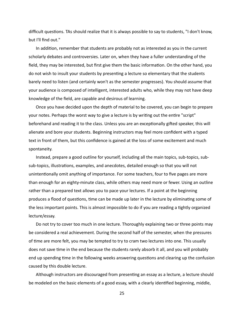difficult questions. TAs should realize that it is always possible to say to students, "I don't know, but I'll find out."

In addition, remember that students are probably not as interested as you in the current scholarly debates and controversies. Later on, when they have a fuller understanding of the field, they may be interested, but first give them the basic information. On the other hand, you do not wish to insult your students by presenting a lecture so elementary that the students barely need to listen (and certainly won't as the semester progresses). You should assume that your audience is composed of intelligent, interested adults who, while they may not have deep knowledge of the field, are capable and desirous of learning.

Once you have decided upon the depth of material to be covered, you can begin to prepare your notes. Perhaps the worst way to give a lecture is by writing out the entire "script" beforehand and reading it to the class. Unless you are an exceptionally gifted speaker, this will alienate and bore your students. Beginning instructors may feel more confident with a typed text in front of them, but this confidence is gained at the loss of some excitement and much spontaneity. 

Instead, prepare a good outline for yourself, including all the main topics, sub-topics, subsub-topics, illustrations, examples, and anecdotes, detailed enough so that you will not unintentionally omit anything of importance. For some teachers, four to five pages are more than enough for an eighty-minute class, while others may need more or fewer. Using an outline rather than a prepared text allows you to pace your lectures. If a point at the beginning produces a flood of questions, time can be made up later in the lecture by eliminating some of the less important points. This is almost impossible to do if you are reading a tightly organized lecture/essay. 

Do not try to cover too much in one lecture. Thoroughly explaining two or three points may be considered a real achievement. During the second half of the semester, when the pressures of time are more felt, you may be tempted to try to cram two lectures into one. This usually does not save time in the end because the students rarely absorb it all, and you will probably end up spending time in the following weeks answering questions and clearing up the confusion caused by this double lecture.

Although instructors are discouraged from presenting an essay as a lecture, a lecture should be modeled on the basic elements of a good essay, with a clearly identified beginning, middle,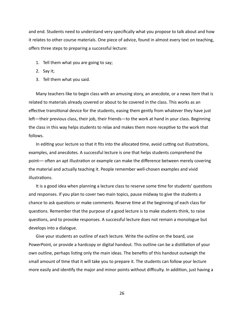and end. Students need to understand very specifically what you propose to talk about and how it relates to other course materials. One piece of advice, found in almost every text on teaching, offers three steps to preparing a successful lecture:

- 1. Tell them what you are going to say;
- 2. Say it;
- 3. Tell them what you said.

Many teachers like to begin class with an amusing story, an anecdote, or a news item that is related to materials already covered or about to be covered in the class. This works as an effective transitional device for the students, easing them gently from whatever they have just left—their previous class, their job, their friends—to the work at hand in your class. Beginning the class in this way helps students to relax and makes them more receptive to the work that follows. 

In editing your lecture so that it fits into the allocated time, avoid cutting out illustrations, examples, and anecdotes. A successful lecture is one that helps students comprehend the point— often an apt illustration or example can make the difference between merely covering the material and actually teaching it. People remember well-chosen examples and vivid illustrations.

It is a good idea when planning a lecture class to reserve some time for students' questions and responses. If you plan to cover two main topics, pause midway to give the students a chance to ask questions or make comments. Reserve time at the beginning of each class for questions. Remember that the purpose of a good lecture is to make students think, to raise questions, and to provoke responses. A successful lecture does not remain a monologue but develops into a dialogue.

Give your students an outline of each lecture. Write the outline on the board, use PowerPoint, or provide a hardcopy or digital handout. This outline can be a distillation of your own outline, perhaps listing only the main ideas. The benefits of this handout outweigh the small amount of time that it will take you to prepare it. The students can follow your lecture more easily and identify the major and minor points without difficulty. In addition, just having a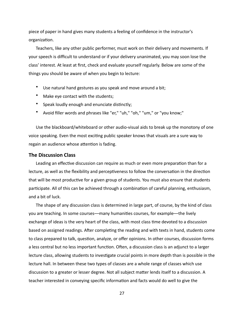piece of paper in hand gives many students a feeling of confidence in the instructor's organization.

Teachers, like any other public performer, must work on their delivery and movements. If your speech is difficult to understand or if your delivery unanimated, you may soon lose the class' interest. At least at first, check and evaluate yourself regularly. Below are some of the things you should be aware of when you begin to lecture:

- Use natural hand gestures as you speak and move around a bit;
- Make eye contact with the students;
- Speak loudly enough and enunciate distinctly;
- Avoid filler words and phrases like "er," "uh," "oh," "um," or "you know;"

Use the blackboard/whiteboard or other audio-visual aids to break up the monotony of one voice speaking. Even the most exciting public speaker knows that visuals are a sure way to regain an audience whose attention is fading.

#### <span id="page-30-0"></span>**The Discussion Class**

Leading an effective discussion can require as much or even more preparation than for a lecture, as well as the flexibility and perceptiveness to follow the conversation in the direction that will be most productive for a given group of students. You must also ensure that students participate. All of this can be achieved through a combination of careful planning, enthusiasm, and a bit of luck.

The shape of any discussion class is determined in large part, of course, by the kind of class you are teaching. In some courses—many humanities courses, for example—the lively exchange of ideas is the very heart of the class, with most class time devoted to a discussion based on assigned readings. After completing the reading and with texts in hand, students come to class prepared to talk, question, analyze, or offer opinions. In other courses, discussion forms a less central but no less important function. Often, a discussion class is an adjunct to a larger lecture class, allowing students to investigate crucial points in more depth than is possible in the lecture hall. In between these two types of classes are a whole range of classes which use discussion to a greater or lesser degree. Not all subject matter lends itself to a discussion. A teacher interested in conveying specific information and facts would do well to give the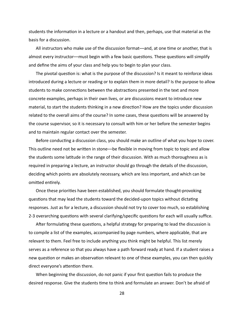students the information in a lecture or a handout and then, perhaps, use that material as the basis for a discussion.

All instructors who make use of the discussion format—and, at one time or another, that is almost every instructor—must begin with a few basic questions. These questions will simplify and define the aims of your class and help you to begin to plan your class.

The pivotal question is: what is the purpose of the discussion? Is it meant to reinforce ideas introduced during a lecture or reading or to explain them in more detail? Is the purpose to allow students to make connections between the abstractions presented in the text and more concrete examples, perhaps in their own lives, or are discussions meant to introduce new material, to start the students thinking in a new direction? How are the topics under discussion related to the overall aims of the course? In some cases, these questions will be answered by the course supervisor, so it is necessary to consult with him or her before the semester begins and to maintain regular contact over the semester.

Before conducting a discussion class, you should make an outline of what you hope to cover. This outline need not be written in stone—be flexible in moving from topic to topic and allow the students some latitude in the range of their discussion. With as much thoroughness as is required in preparing a lecture, an instructor should go through the details of the discussion, deciding which points are absolutely necessary, which are less important, and which can be omitted entirely.

Once these priorities have been established, you should formulate thought-provoking questions that may lead the students toward the decided-upon topics without dictating responses. Just as for a lecture, a discussion should not try to cover too much, so establishing 2-3 overarching questions with several clarifying/specific questions for each will usually suffice.

After formulating these questions, a helpful strategy for preparing to lead the discussion is to compile a list of the examples, accompanied by page numbers, where applicable, that are relevant to them. Feel free to include anything you think might be helpful. This list merely serves as a reference so that you always have a path forward ready at hand. If a student raises a new question or makes an observation relevant to one of these examples, you can then quickly direct everyone's attention there.

When beginning the discussion, do not panic if your first question fails to produce the desired response. Give the students time to think and formulate an answer. Don't be afraid of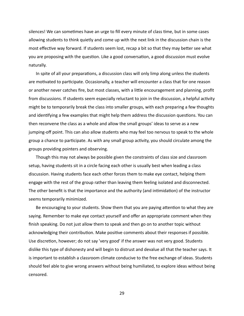silences! We can sometimes have an urge to fill every minute of class time, but in some cases allowing students to think quietly and come up with the next link in the discussion chain is the most effective way forward. If students seem lost, recap a bit so that they may better see what you are proposing with the question. Like a good conversation, a good discussion must evolve naturally. 

In spite of all your preparations, a discussion class will only limp along unless the students are motivated to participate. Occasionally, a teacher will encounter a class that for one reason or another never catches fire, but most classes, with a little encouragement and planning, profit from discussions. If students seem especially reluctant to join in the discussion, a helpful activity might be to temporarily break the class into smaller groups, with each preparing a few thoughts and identifying a few examples that might help them address the discussion questions. You can then reconvene the class as a whole and allow the small groups' ideas to serve as a new jumping-off point. This can also allow students who may feel too nervous to speak to the whole group a chance to participate. As with any small group activity, you should circulate among the groups providing pointers and observing.

Though this may not always be possible given the constraints of class size and classroom setup, having students sit in a circle facing each other is usually best when leading a class discussion. Having students face each other forces them to make eye contact, helping them engage with the rest of the group rather than leaving them feeling isolated and disconnected. The other benefit is that the importance and the authority (and intimidation) of the instructor seems temporarily minimized.

Be encouraging to your students. Show them that you are paying attention to what they are saying. Remember to make eye contact yourself and offer an appropriate comment when they finish speaking. Do not just allow them to speak and then go on to another topic without acknowledging their contribution. Make positive comments about their responses if possible. Use discretion, however; do not say 'very good' if the answer was not very good. Students dislike this type of dishonesty and will begin to distrust and devalue all that the teacher says. It is important to establish a classroom climate conducive to the free exchange of ideas. Students should feel able to give wrong answers without being humiliated, to explore ideas without being censored.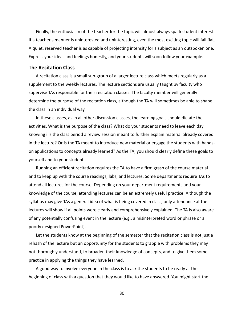Finally, the enthusiasm of the teacher for the topic will almost always spark student interest. If a teacher's manner is uninterested and uninteresting, even the most exciting topic will fall flat. A quiet, reserved teacher is as capable of projecting intensity for a subject as an outspoken one. Express your ideas and feelings honestly, and your students will soon follow your example.

#### <span id="page-33-0"></span>**The Recitation Class**

A recitation class is a small sub-group of a larger lecture class which meets regularly as a supplement to the weekly lectures. The lecture sections are usually taught by faculty who supervise TAs responsible for their recitation classes. The faculty member will generally determine the purpose of the recitation class, although the TA will sometimes be able to shape the class in an individual way.

In these classes, as in all other discussion classes, the learning goals should dictate the activities. What is the purpose of the class? What do your students need to leave each day knowing? Is the class period a review session meant to further explain material already covered in the lecture? Or is the TA meant to introduce new material or engage the students with handson applications to concepts already learned? As the TA, you should clearly define these goals to yourself and to your students.

Running an efficient recitation requires the TA to have a firm grasp of the course material and to keep up with the course readings, labs, and lectures. Some departments require TAs to attend all lectures for the course. Depending on your department requirements and your knowledge of the course, attending lectures can be an extremely useful practice. Although the syllabus may give TAs a general idea of what is being covered in class, only attendance at the lectures will show if all points were clearly and comprehensively explained. The TA is also aware of any potentially confusing event in the lecture (e.g., a misinterpreted word or phrase or a poorly designed PowerPoint).

Let the students know at the beginning of the semester that the recitation class is not just a rehash of the lecture but an opportunity for the students to grapple with problems they may not thoroughly understand, to broaden their knowledge of concepts, and to give them some practice in applying the things they have learned.

A good way to involve everyone in the class is to ask the students to be ready at the beginning of class with a question that they would like to have answered. You might start the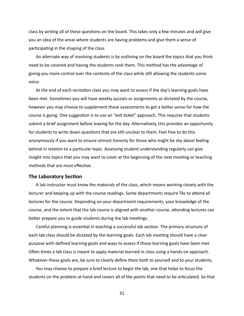class by writing all of these questions on the board. This takes only a few minutes and will give you an idea of the areas where students are having problems and give them a sense of participating in the shaping of the class.

An alternate way of involving students is by outlining on the board the topics that you think need to be covered and having the students rank them. This method has the advantage of giving you more control over the contents of the class while still allowing the students some voice. 

At the end of each recitation class you may want to assess if the day's learning goals have been met. Sometimes you will have weekly quizzes or assignments as dictated by the course, however you may choose to supplement these assessments to get a better sense for how the course is going. One suggestion is to use an "exit ticket" approach. This requires that students submit a brief assignment before leaving for the day. Alternatively, this provides an opportunity for students to write down questions that are still unclear to them. Feel free to do this anonymously if you want to ensure utmost honesty for those who might be shy about feeling behind in relation to a particular topic. Assessing student understanding regularly can give insight into topics that you may want to cover at the beginning of the next meeting or teaching methods that are most effective.

#### <span id="page-34-0"></span>**The Laboratory Section**

A lab instructor must know the materials of the class, which means working closely with the lecturer and keeping up with the course readings. Some departments require TAs to attend all lectures for the course. Depending on your department requirements, your knowledge of the course, and the extent that the lab course is aligned with another course, attending lectures can better prepare you to guide students during the lab meetings.

Careful planning is essential in teaching a successful lab section. The primary structure of each lab class should be dictated by the learning goals. Each lab meeting should have a clear purpose with defined learning goals and ways to assess if those learning goals have been met. Often times a lab class is meant to apply material learned in class using a hands-on approach. Whatever these goals are, be sure to clearly define them both to yourself and to your students.

You may choose to prepare a brief lecture to begin the lab, one that helps to focus the students on the problem at hand and covers all of the points that need to be articulated. So that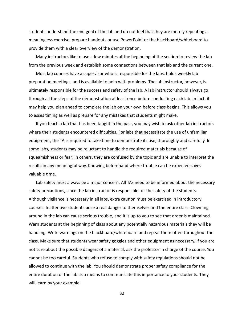students understand the end goal of the lab and do not feel that they are merely repeating a meaningless exercise, prepare handouts or use PowerPoint or the blackboard/whiteboard to provide them with a clear overview of the demonstration.

Many instructors like to use a few minutes at the beginning of the section to review the lab from the previous week and establish some connections between that lab and the current one.

Most lab courses have a supervisor who is responsible for the labs, holds weekly lab preparation meetings, and is available to help with problems. The lab instructor, however, is ultimately responsible for the success and safety of the lab. A lab instructor should always go through all the steps of the demonstration at least once before conducting each lab. In fact, it may help you plan ahead to complete the lab on your own before class begins. This allows you to asses timing as well as prepare for any mistakes that students might make.

If you teach a lab that has been taught in the past, you may wish to ask other lab instructors where their students encountered difficulties. For labs that necessitate the use of unfamiliar equipment, the TA is required to take time to demonstrate its use, thoroughly and carefully. In some labs, students may be reluctant to handle the required materials because of squeamishness or fear; in others, they are confused by the topic and are unable to interpret the results in any meaningful way. Knowing beforehand where trouble can be expected saves valuable time.

Lab safety must always be a major concern. All TAs need to be informed about the necessary safety precautions, since the lab instructor is responsible for the safety of the students. Although vigilance is necessary in all labs, extra caution must be exercised in introductory courses. Inattentive students pose a real danger to themselves and the entire class. Clowning around in the lab can cause serious trouble, and it is up to you to see that order is maintained. Warn students at the beginning of class about any potentially hazardous materials they will be handling. Write warnings on the blackboard/whiteboard and repeat them often throughout the class. Make sure that students wear safety goggles and other equipment as necessary. If you are not sure about the possible dangers of a material, ask the professor in charge of the course. You cannot be too careful. Students who refuse to comply with safety regulations should not be allowed to continue with the lab. You should demonstrate proper safety compliance for the entire duration of the lab as a means to communicate this importance to your students. They will learn by your example.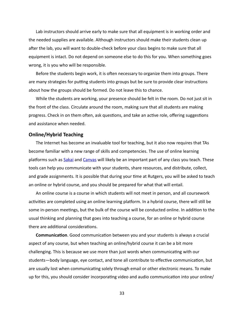Lab instructors should arrive early to make sure that all equipment is in working order and the needed supplies are available. Although instructors should make their students clean up after the lab, you will want to double-check before your class begins to make sure that all equipment is intact. Do not depend on someone else to do this for you. When something goes wrong, it is you who will be responsible.

Before the students begin work, it is often necessary to organize them into groups. There are many strategies for putting students into groups but be sure to provide clear instructions about how the groups should be formed. Do not leave this to chance.

While the students are working, your presence should be felt in the room. Do not just sit in the front of the class. Circulate around the room, making sure that all students are making progress. Check in on them often, ask questions, and take an active role, offering suggestions and assistance when needed.

#### <span id="page-36-0"></span>**Online/Hybrid Teaching**

The Internet has become an invaluable tool for teaching, but it also now requires that TAs become familiar with a new range of skills and competencies. The use of online learning platforms such as **Sakai** and Canvas will likely be an important part of any class you teach. These tools can help you communicate with your students, share resources, and distribute, collect, and grade assignments. It is possible that during your time at Rutgers, you will be asked to teach an online or hybrid course, and you should be prepared for what that will entail.

An online course is a course in which students will not meet in person, and all coursework activities are completed using an online learning platform. In a hybrid course, there will still be some in-person meetings, but the bulk of the course will be conducted online. In addition to the usual thinking and planning that goes into teaching a course, for an online or hybrid course there are additional considerations.

**Communication**. Good communication between you and your students is always a crucial aspect of any course, but when teaching an online/hybrid course it can be a bit more challenging. This is because we use more than just words when communicating with our students—body language, eye contact, and tone all contribute to effective communication, but are usually lost when communicating solely through email or other electronic means. To make up for this, you should consider incorporating video and audio communication into your online/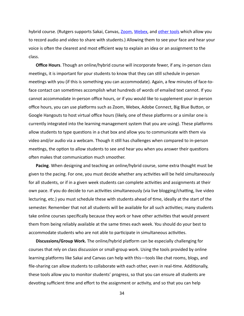hybrid course. (Rutgers supports Sakai, Canvas, *Zoom*, Webex, and other tools which allow you to record audio and video to share with students.) Allowing them to see your face and hear your voice is often the clearest and most efficient way to explain an idea or an assignment to the class. 

**Office Hours**. Though an online/hybrid course will incorporate fewer, if any, in-person class meetings, it is important for your students to know that they can still schedule in-person meetings with you (if this is something you can accommodate). Again, a few minutes of face-toface contact can sometimes accomplish what hundreds of words of emailed text cannot. If you cannot accommodate in-person office hours, or if you would like to supplement your in-person office hours, you can use platforms such as Zoom, Webex, Adobe Connect, Big Blue Button, or Google Hangouts to host virtual office hours (likely, one of these platforms or a similar one is currently integrated into the learning management system that you are using). These platforms allow students to type questions in a chat box and allow you to communicate with them via video and/or audio via a webcam. Though it still has challenges when compared to in-person meetings, the option to allow students to see and hear you when you answer their questions often makes that communication much smoother.

**Pacing**. When designing and teaching an online/hybrid course, some extra thought must be given to the pacing. For one, you must decide whether any activities will be held simultaneously for all students, or if in a given week students can complete activities and assignments at their own pace. If you do decide to run activities simultaneously (via live blogging/chatting, live video lecturing, etc.) you must schedule these with students ahead of time, ideally at the start of the semester. Remember that not all students will be available for all such activities; many students take online courses specifically because they work or have other activities that would prevent them from being reliably available at the same times each week. You should do your best to accommodate students who are not able to participate in simultaneous activities.

**Discussions/Group Work.** The online/hybrid platform can be especially challenging for courses that rely on class discussion or small-group work. Using the tools provided by online learning platforms like Sakai and Canvas can help with this—tools like chat rooms, blogs, and file-sharing can allow students to collaborate with each other, even in real-time. Additionally, these tools allow you to monitor students' progress, so that you can ensure all students are devoting sufficient time and effort to the assignment or activity, and so that you can help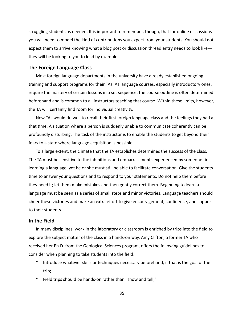struggling students as needed. It is important to remember, though, that for online discussions you will need to model the kind of contributions you expect from your students. You should not expect them to arrive knowing what a blog post or discussion thread entry needs to look like they will be looking to you to lead by example.

#### <span id="page-38-0"></span>**The Foreign Language Class**

Most foreign language departments in the university have already established ongoing training and support programs for their TAs. As language courses, especially introductory ones, require the mastery of certain lessons in a set sequence, the course outline is often determined beforehand and is common to all instructors teaching that course. Within these limits, however, the TA will certainly find room for individual creativity.

New TAs would do well to recall their first foreign language class and the feelings they had at that time. A situation where a person is suddenly unable to communicate coherently can be profoundly disturbing. The task of the instructor is to enable the students to get beyond their fears to a state where language acquisition is possible.

To a large extent, the climate that the TA establishes determines the success of the class. The TA must be sensitive to the inhibitions and embarrassments experienced by someone first learning a language, yet he or she must still be able to facilitate conversation. Give the students time to answer your questions and to respond to your statements. Do not help them before they need it; let them make mistakes and then gently correct them. Beginning to learn a language must be seen as a series of small steps and minor victories. Language teachers should cheer these victories and make an extra effort to give encouragement, confidence, and support to their students.

#### <span id="page-38-1"></span>**In the Field**

In many disciplines, work in the laboratory or classroom is enriched by trips into the field to explore the subject matter of the class in a hands-on way. Amy Clifton, a former TA who received her Ph.D. from the Geological Sciences program, offers the following guidelines to consider when planning to take students into the field:

- Introduce whatever skills or techniques necessary beforehand, if that is the goal of the trip;
- Field trips should be hands-on rather than "show and tell;"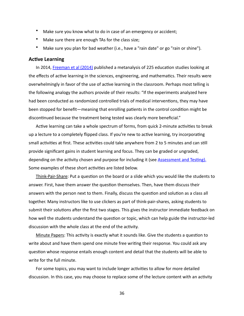- Make sure you know what to do in case of an emergency or accident;
- Make sure there are enough TAs for the class size;
- Make sure you plan for bad weather (i.e., have a "rain date" or go "rain or shine").

#### <span id="page-39-0"></span>**Active Learning**

In 2014, Freeman et al (2014) published a metanalysis of 225 education studies looking at the effects of active learning in the sciences, engineering, and mathematics. Their results were overwhelmingly in favor of the use of active learning in the classroom. Perhaps most telling is the following analogy the authors provide of their results: "If the experiments analyzed here had been conducted as randomized controlled trials of medical interventions, they may have been stopped for benefit—meaning that enrolling patients in the control condition might be discontinued because the treatment being tested was clearly more beneficial."

Active learning can take a whole spectrum of forms, from quick 2-minute activities to break up a lecture to a completely flipped class. If you're new to active learning, try incorporating small activities at first. These activities could take anywhere from 2 to 5 minutes and can still provide significant gains in student learning and focus. They can be graded or ungraded, depending on the activity chosen and purpose for including it (see **Assessment and Testing)**. Some examples of these short activities are listed below.

Think-Pair-Share: Put a question on the board or a slide which you would like the students to answer. First, have them answer the question themselves. Then, have them discuss their answers with the person next to them. Finally, discuss the question and solution as a class all together. Many instructors like to use clickers as part of think-pair-shares, asking students to submit their solutions after the first two stages. This gives the instructor immediate feedback on how well the students understand the question or topic, which can help guide the instructor-led discussion with the whole class at the end of the activity.

Minute Papers: This activity is exactly what it sounds like. Give the students a question to write about and have them spend one minute free writing their response. You could ask any question whose response entails enough content and detail that the students will be able to write for the full minute.

For some topics, you may want to include longer activities to allow for more detailed discussion. In this case, you may choose to replace some of the lecture content with an activity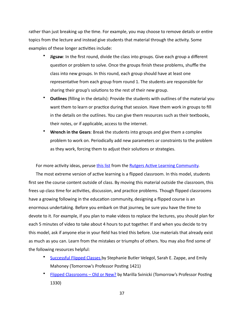rather than just breaking up the time. For example, you may choose to remove details or entire topics from the lecture and instead give students that material through the activity. Some examples of these longer activities include:

- **Jigsaw**: In the first round, divide the class into groups. Give each group a different question or problem to solve. Once the groups finish these problems, shuffle the class into new groups. In this round, each group should have at least one representative from each group from round 1. The students are responsible for sharing their group's solutions to the rest of their new group.
- Outlines (filling in the details): Provide the students with outlines of the material you want them to learn or practice during that session. Have them work in groups to fill in the details on the outlines. You can give them resources such as their textbooks, their notes, or if applicable, access to the internet.
- Wrench in the Gears: Break the students into groups and give them a complex problem to work on. Periodically add new parameters or constraints to the problem as they work, forcing them to adjust their solutions or strategies.

For more activity ideas, peruse this list from the Rutgers Active Learning Community.

The most extreme version of active learning is a flipped classroom. In this model, students first see the course content outside of class. By moving this material outside the classroom, this frees up class time for activities, discussion, and practice problems. Though flipped classrooms have a growing following in the education community, designing a flipped course is an enormous undertaking. Before you embark on that journey, be sure you have the time to devote to it. For example, if you plan to make videos to replace the lectures, you should plan for each 5 minutes of video to take about 4 hours to put together. If and when you decide to try this model, ask if anyone else in your field has tried this before. Use materials that already exist as much as you can. Learn from the mistakes or triumphs of others. You may also find some of the following resources helpful:

- Successful Flipped Classes by Stephanie Butler Velegol, Sarah E. Zappe, and Emily Mahoney (Tomorrow's Professor Posting 1421)
- Flipped Classrooms Old or New? by Marilla Svinicki (Tomorrow's Professor Posting 1330)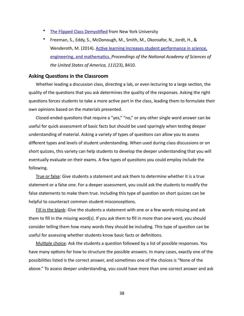- The Flipped Class Demystified from New York University
- Freeman, S., Eddy, S., McDonough, M., Smith, M., Okoroafor, N., Jordt, H., & Wenderoth, M. (2014). Active learning increases student performance in science, engineering, and mathematics. Proceedings of the National Academy of Sciences of *the United States of America, 111*(23), 8410.

#### <span id="page-41-0"></span>**Asking Questions in the Classroom**

Whether leading a discussion class, directing a lab, or even lecturing to a large section, the quality of the questions that you ask determines the quality of the responses. Asking the right questions forces students to take a more active part in the class, leading them to formulate their own opinions based on the materials presented.

Closed-ended questions that require a "yes," "no," or any other single word answer can be useful for quick assessment of basic facts but should be used sparingly when testing deeper understanding of material. Asking a variety of types of questions can allow you to assess different types and levels of student understanding. When used during class discussions or on short quizzes, this variety can help students to develop the deeper understanding that you will eventually evaluate on their exams. A few types of questions you could employ include the following. 

True or false: Give students a statement and ask them to determine whether it is a true statement or a false one. For a deeper assessment, you could ask the students to modify the false statements to make them true. Including this type of question on short quizzes can be helpful to counteract common student misconceptions.

Fill in the blank: Give the students a statement with one or a few words missing and ask them to fill in the missing word(s). If you ask them to fill in more than one word, you should consider telling them how many words they should be including. This type of question can be useful for assessing whether students know basic facts or definitions.

Multiple choice: Ask the students a question followed by a list of possible responses. You have many options for how to structure the possible answers. In many cases, exactly one of the possibilities listed is the correct answer, and sometimes one of the choices is "None of the above." To assess deeper understanding, you could have more than one correct answer and ask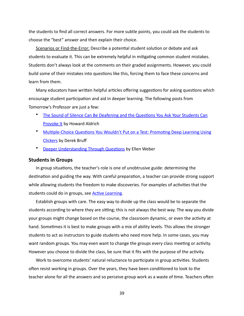the students to find all correct answers. For more subtle points, you could ask the students to choose the "best" answer and then explain their choice.

Scenarios or Find-the-Error: Describe a potential student solution or debate and ask students to evaluate it. This can be extremely helpful in mitigating common student mistakes. Students don't always look at the comments on their graded assignments. However, you could build some of their mistakes into questions like this, forcing them to face these concerns and learn from them.

Many educators have written helpful articles offering suggestions for asking questions which encourage student participation and aid in deeper learning. The following posts from Tomorrow's Professor are just a few:

- The Sound of Silence Can Be Deafening and the Questions You Ask Your Students Can **Provoke It by Howard Aldrich**
- Multiple-Choice Questions You Wouldn't Put on a Test: Promoting Deep Learning Using Clickers by Derek Bruff
- **Deeper Understanding Through Questions by Ellen Weber**

#### <span id="page-42-0"></span>**Students in Groups**

In group situations, the teacher's role is one of unobtrusive guide: determining the destination and guiding the way. With careful preparation, a teacher can provide strong support while allowing students the freedom to make discoveries. For examples of activities that the students could do in groups, see **Active Learning**.

Establish groups with care. The easy way to divide up the class would be to separate the students according to where they are sitting; this is not always the best way. The way you divide your groups might change based on the course, the classroom dynamic, or even the activity at hand. Sometimes it is best to make groups with a mix of ability levels. This allows the stronger students to act as instructors to guide students who need more help. In some cases, you may want random groups. You may even want to change the groups every class meeting or activity. However you choose to divide the class, be sure that it fits with the purpose of the activity.

Work to overcome students' natural reluctance to participate in group activities. Students often resist working in groups. Over the years, they have been conditioned to look to the teacher alone for all the answers and so perceive group work as a waste of time. Teachers often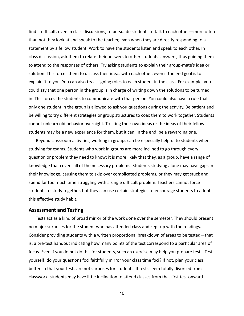find it difficult, even in class discussions, to persuade students to talk to each other—more often than not they look at and speak to the teacher, even when they are directly responding to a statement by a fellow student. Work to have the students listen and speak to each other. In class discussion, ask them to relate their answers to other students' answers, thus guiding them to attend to the responses of others. Try asking students to explain their group-mate's idea or solution. This forces them to discuss their ideas with each other, even if the end goal is to explain it to you. You can also try assigning roles to each student in the class. For example, you could say that one person in the group is in charge of writing down the solutions to be turned in. This forces the students to communicate with that person. You could also have a rule that only one student in the group is allowed to ask you questions during the activity. Be patient and be willing to try different strategies or group structures to coax them to work together. Students cannot unlearn old behavior overnight. Trusting their own ideas or the ideas of their fellow students may be a new experience for them, but it can, in the end, be a rewarding one.

Beyond classroom activities, working in groups can be especially helpful to students when studying for exams. Students who work in groups are more inclined to go through every question or problem they need to know; it is more likely that they, as a group, have a range of knowledge that covers all of the necessary problems. Students studying alone may have gaps in their knowledge, causing them to skip over complicated problems, or they may get stuck and spend far too much time struggling with a single difficult problem. Teachers cannot force students to study together, but they can use certain strategies to encourage students to adopt this effective study habit.

#### <span id="page-43-0"></span>**Assessment and Testing**

Tests act as a kind of broad mirror of the work done over the semester. They should present no major surprises for the student who has attended class and kept up with the readings. Consider providing students with a written proportional breakdown of areas to be tested—that is, a pre-test handout indicating how many points of the test correspond to a particular area of focus. Even if you do not do this for students, such an exercise may help you prepare tests. Test yourself: do your questions foci faithfully mirror your class time foci? If not, plan your class better so that your tests are not surprises for students. If tests seem totally divorced from classwork, students may have little inclination to attend classes from that first test onward.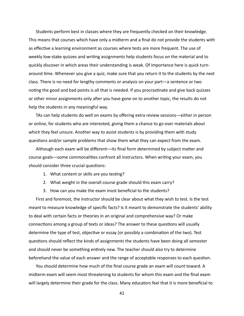Students perform best in classes where they are frequently checked on their knowledge. This means that courses which have only a midterm and a final do not provide the students with as effective a learning environment as courses where tests are more frequent. The use of weekly low-stake quizzes and writing assignments help students focus on the material and to quickly discover in which areas their understanding is weak. Of importance here is quick turnaround time. Whenever you give a quiz, make sure that you return it to the students by the next class. There is no need for lengthy comments or analysis on your part—a sentence or two noting the good and bad points is all that is needed. If you procrastinate and give back quizzes or other minor assignments only after you have gone on to another topic, the results do not help the students in any meaningful way.

TAs can help students do well on exams by offering extra review sessions—either in person or online, for students who are interested, giving them a chance to go over materials about which they feel unsure. Another way to assist students is by providing them with study questions and/or sample problems that show them what they can expect from the exam.

Although each exam will be different--its final form determined by subject matter and course goals—some commonalities confront all instructors. When writing your exam, you should consider three crucial questions:

- 1. What content or skills are you testing?
- 2. What weight in the overall course grade should this exam carry?
- 3. How can you make the exam most beneficial to the students?

First and foremost, the instructor should be clear about what they wish to test. Is the test meant to measure knowledge of specific facts? Is it meant to demonstrate the students' ability to deal with certain facts or theories in an original and comprehensive way? Or make connections among a group of texts or ideas? The answer to these questions will usually determine the type of test, objective or essay (or possibly a combination of the two). Test questions should reflect the kinds of assignments the students have been doing all semester and should never be something entirely new. The teacher should also try to determine beforehand the value of each answer and the range of acceptable responses to each question.

You should determine how much of the final course grade an exam will count toward. A midterm exam will seem most threatening to students for whom this exam and the final exam will largely determine their grade for the class. Many educators feel that it is more beneficial to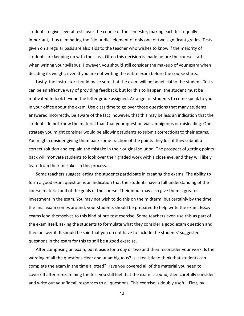students to give several tests over the course of the semester, making each test equally important, thus eliminating the "do or die" element of only one or two significant grades. Tests given on a regular basis are also aids to the teacher who wishes to know if the majority of students are keeping up with the class. Often this decision is made before the course starts, when writing your syllabus. However, you should still consider the makeup of your exam when deciding its weight, even if you are not writing the entire exam before the course starts.

Lastly, the instructor should make sure that the exam will be beneficial to the student. Tests can be an effective way of providing feedback, but for this to happen, the student must be motivated to look beyond the letter grade assigned. Arrange for students to come speak to you in your office about the exam. Use class time to go over those questions that many students answered incorrectly. Be aware of the fact, however, that this may be less an indication that the students do not know the material than that your question was ambiguous or misleading. One strategy you might consider would be allowing students to submit corrections to their exams. You might consider giving them back some fraction of the points they lost if they submit a correct solution and explain the mistake in their original solution. The prospect of getting points back will motivate students to look over their graded work with a close eye, and they will likely learn from their mistakes in this process.

Some teachers suggest letting the students participate in creating the exams. The ability to form a good exam question is an indication that the students have a full understanding of the course material and of the goals of the course. Their input may also give them a greater investment in the exam. You may not wish to do this on the midterm, but certainly by the time the final exam comes around, your students should be prepared to help write the exam. Essay exams lend themselves to this kind of pre-test exercise. Some teachers even use this as part of the exam itself, asking the students to formulate what they consider a good exam question and then answer it. It should be said that you do not have to include the students' suggested questions in the exam for this to still be a good exercise.

After composing an exam, put it aside for a day or two and then reconsider your work. Is the wording of all the questions clear and unambiguous? Is it realistic to think that students can complete the exam in the time allotted? Have you covered all of the material you need to cover? If after re-examining the test you still feel that the exam is sound, then carefully consider and write out your 'ideal' responses to all questions. This exercise is doubly useful. First, by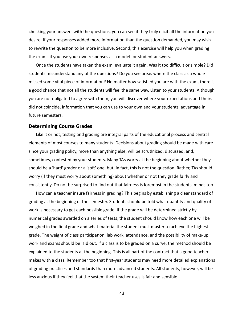checking your answers with the questions, you can see if they truly elicit all the information you desire. If your responses added more information than the question demanded, you may wish to rewrite the question to be more inclusive. Second, this exercise will help you when grading the exams if you use your own responses as a model for student answers.

Once the students have taken the exam, evaluate it again. Was it too difficult or simple? Did students misunderstand any of the questions? Do you see areas where the class as a whole missed some vital piece of information? No matter how satisfied you are with the exam, there is a good chance that not all the students will feel the same way. Listen to your students. Although you are not obligated to agree with them, you will discover where your expectations and theirs did not coincide, information that you can use to your own and your students' advantage in future semesters.

#### <span id="page-46-0"></span>**Determining Course Grades**

Like it or not, testing and grading are integral parts of the educational process and central elements of most courses to many students. Decisions about grading should be made with care since your grading policy, more than anything else, will be scrutinized, discussed, and, sometimes, contested by your students. Many TAs worry at the beginning about whether they should be a 'hard' grader or a 'soft' one, but, in fact, this is not the question. Rather, TAs should worry (if they must worry about something) about whether or not they grade fairly and consistently. Do not be surprised to find out that fairness is foremost in the students' minds too.

How can a teacher insure fairness in grading? This begins by establishing a clear standard of grading at the beginning of the semester. Students should be told what quantity and quality of work is necessary to get each possible grade. If the grade will be determined strictly by numerical grades awarded on a series of tests, the student should know how each one will be weighed in the final grade and what material the student must master to achieve the highest grade. The weight of class participation, lab work, attendance, and the possibility of make-up work and exams should be laid out. If a class is to be graded on a curve, the method should be explained to the students at the beginning. This is all part of the contract that a good teacher makes with a class. Remember too that first-year students may need more detailed explanations of grading practices and standards than more advanced students. All students, however, will be less anxious if they feel that the system their teacher uses is fair and sensible.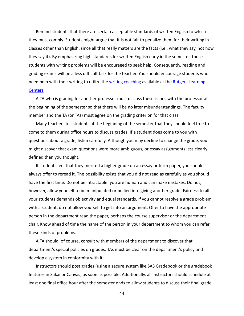Remind students that there are certain acceptable standards of written English to which they must comply. Students might argue that it is not fair to penalize them for their writing in classes other than English, since all that really matters are the facts (i.e., what they say, not how they say it). By emphasizing high standards for written English early in the semester, those students with writing problems will be encouraged to seek help. Consequently, reading and grading exams will be a less difficult task for the teacher. You should encourage students who need help with their writing to utilize the writing coaching available at the Rutgers Learning [Centers](https://rlc.rutgers.edu/). 

A TA who is grading for another professor must discuss these issues with the professor at the beginning of the semester so that there will be no later misunderstandings. The faculty member and the TA (or TAs) must agree on the grading criterion for that class.

Many teachers tell students at the beginning of the semester that they should feel free to come to them during office hours to discuss grades. If a student does come to you with questions about a grade, listen carefully. Although you may decline to change the grade, you might discover that exam questions were more ambiguous, or essay assignments less clearly defined than you thought.

If students feel that they merited a higher grade on an essay or term paper, you should always offer to reread it. The possibility exists that you did not read as carefully as you should have the first time. Do not be intractable: you are human and can make mistakes. Do not, however, allow yourself to be manipulated or bullied into giving another grade. Fairness to all your students demands objectivity and equal standards. If you cannot resolve a grade problem with a student, do not allow yourself to get into an argument. Offer to have the appropriate person in the department read the paper, perhaps the course supervisor or the department chair. Know ahead of time the name of the person in your department to whom you can refer these kinds of problems.

A TA should, of course, consult with members of the department to discover that department's special policies on grades. TAs must be clear on the department's policy and develop a system in conformity with it.

Instructors should post grades (using a secure system like SAS Gradebook or the gradebook features in Sakai or Canvas) as soon as possible. Additionally, all instructors should schedule at least one final office hour after the semester ends to allow students to discuss their final grade.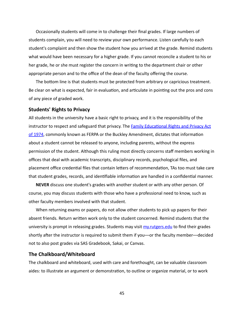Occasionally students will come in to challenge their final grades. If large numbers of students complain, you will need to review your own performance. Listen carefully to each student's complaint and then show the student how you arrived at the grade. Remind students what would have been necessary for a higher grade. If you cannot reconcile a student to his or her grade, he or she must register the concern in writing to the department chair or other appropriate person and to the office of the dean of the faculty offering the course.

The bottom line is that students must be protected from arbitrary or capricious treatment. Be clear on what is expected, fair in evaluation, and articulate in pointing out the pros and cons of any piece of graded work.

#### <span id="page-48-0"></span>**Students' Rights to Privacy**

All students in the university have a basic right to privacy, and it is the responsibility of the instructor to respect and safeguard that privacy. The **Family Educational Rights and Privacy Act** of 1974, commonly known as FERPA or the Buckley Amendment, dictates that information about a student cannot be released to anyone, including parents, without the express permission of the student. Although this ruling most directly concerns staff members working in offices that deal with academic transcripts, disciplinary records, psychological files, and placement office credential files that contain letters of recommendation, TAs too must take care that student grades, records, and identifiable information are handled in a confidential manner.

**NEVER** discuss one student's grades with another student or with any other person. Of course, you may discuss students with those who have a professional need to know, such as other faculty members involved with that student.

When returning exams or papers, do not allow other students to pick up papers for their absent friends. Return written work only to the student concerned. Remind students that the university is prompt in releasing grades. Students may visit  $m$ *y.rutgers.edu* to find their grades shortly after the instructor is required to submit them if you—or the faculty member—decided not to also post grades via SAS Gradebook, Sakai, or Canvas.

#### <span id="page-48-1"></span>**The Chalkboard/Whiteboard**

The chalkboard and whiteboard, used with care and forethought, can be valuable classroom aides: to illustrate an argument or demonstration, to outline or organize material, or to work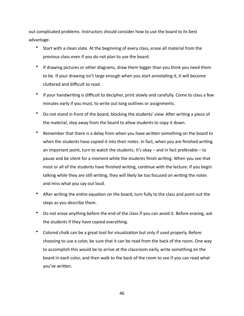out complicated problems. Instructors should consider how to use the board to its best advantage. 

- Start with a clean slate. At the beginning of every class, erase all material from the previous class even if you do not plan to use the board.
- If drawing pictures or other diagrams, draw them bigger than you think you need them to be. If your drawing isn't large enough when you start annotating it, it will become cluttered and difficult to read.
- If your handwriting is difficult to decipher, print slowly and carefully. Come to class a few minutes early if you must, to write out long outlines or assignments.
- Do not stand in front of the board, blocking the students' view. After writing a piece of the material, step away from the board to allow students to copy it down.
- Remember that there is a delay from when you have written something on the board to when the students have copied it into their notes. In fact, when you are finished writing an important point, turn to watch the students. It's okay  $-$  and in fact preferable  $-$  to pause and be silent for a moment while the students finish writing. When you see that most or all of the students have finished writing, continue with the lecture. If you begin talking while they are still writing, they will likely be too focused on writing the notes and miss what you say out loud.
- After writing the entire equation on the board, turn fully to the class and point out the steps as you describe them.
- Do not erase anything before the end of the class if you can avoid it. Before erasing, ask the students if they have copied everything.
- Colored chalk can be a great tool for visualization but only if used properly. Before choosing to use a color, be sure that it can be read from the back of the room. One way to accomplish this would be to arrive at the classroom early, write something on the board in each color, and then walk to the back of the room to see if you can read what you've written.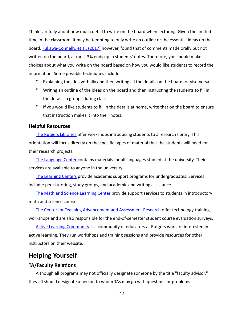Think carefully about how much detail to write on the board when lecturing. Given the limited time in the classroom, it may be tempting to only write an outline or the essential ideas on the board. Fukawa-Connelly, et al. (2017) however, found that of comments made orally but not written on the board, at most 3% ends up in students' notes. Therefore, you should make choices about what you write on the board based on how you would like students to record the information. Some possible techniques include:

- Explaining the idea verbally and then writing all the details on the board, or vise-versa.
- Writing an outline of the ideas on the board and then instructing the students to fill in the details in groups during class.
- If you would like students to fill in the details at home, write that on the board to ensure that instruction makes it into their notes.

#### <span id="page-50-0"></span>**Helpful Resources**

The Rutgers Libraries offer workshops introducing students to a research library. This orientation will focus directly on the specific types of material that the students will need for their research projects.

The Language Center contains materials for all languages studied at the university. Their services are available to anyone in the university.

The Learning Centers provide academic support programs for undergraduates. Services include: peer tutoring, study groups, and academic and writing assistance.

The Math and Science Learning Center provide support services to students in introductory math and science courses.

The Center for Teaching Advancement and Assessment Research offer technology training workshops and are also responsible for the end-of-semester student course evaluation surveys.

Active Learning Community is a community of educators at Rutgers who are interested in active learning. They run workshops and training sessions and provide resources for other instructors on their website.

# <span id="page-50-1"></span>**Helping Yourself**

#### <span id="page-50-2"></span>**TA/Faculty Relations**

Although all programs may not officially designate someone by the title "faculty advisor," they all should designate a person to whom TAs may go with questions or problems.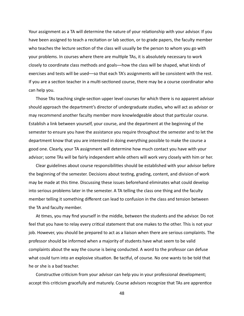Your assignment as a TA will determine the nature of your relationship with your advisor. If you have been assigned to teach a recitation or lab section, or to grade papers, the faculty member who teaches the lecture section of the class will usually be the person to whom you go with your problems. In courses where there are multiple TAs, it is absolutely necessary to work closely to coordinate class methods and goals—how the class will be shaped, what kinds of exercises and tests will be used—so that each TA's assignments will be consistent with the rest. If you are a section teacher in a multi-sectioned course, there may be a course coordinator who can help you.

Those TAs teaching single-section upper level courses for which there is no apparent advisor should approach the department's director of undergraduate studies, who will act as advisor or may recommend another faculty member more knowledgeable about that particular course. Establish a link between yourself, your course, and the department at the beginning of the semester to ensure you have the assistance you require throughout the semester and to let the department know that you are interested in doing everything possible to make the course a good one. Clearly, your TA assignment will determine how much contact you have with your advisor; some TAs will be fairly independent while others will work very closely with him or her.

Clear guidelines about course responsibilities should be established with your advisor before the beginning of the semester. Decisions about testing, grading, content, and division of work may be made at this time. Discussing these issues beforehand eliminates what could develop into serious problems later in the semester. A TA telling the class one thing and the faculty member telling it something different can lead to confusion in the class and tension between the TA and faculty member.

At times, you may find yourself in the middle, between the students and the advisor. Do not feel that you have to relay every critical statement that one makes to the other. This is not your job. However, you should be prepared to act as a liaison when there are serious complaints. The professor should be informed when a majority of students have what seem to be valid complaints about the way the course is being conducted. A word to the professor can defuse what could turn into an explosive situation. Be tactful, of course. No one wants to be told that he or she is a bad teacher.

Constructive criticism from your advisor can help you in your professional development; accept this criticism gracefully and maturely. Course advisors recognize that TAs are apprentice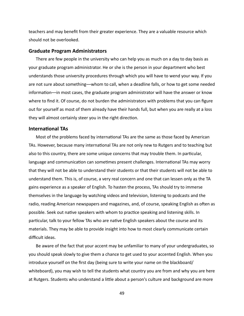teachers and may benefit from their greater experience. They are a valuable resource which should not be overlooked.

#### <span id="page-52-0"></span>**Graduate Program Administrators**

There are few people in the university who can help you as much on a day to day basis as your graduate program administrator. He or she is the person in your department who best understands those university procedures through which you will have to wend your way. If you are not sure about something—whom to call, when a deadline falls, or how to get some needed information—in most cases, the graduate program administrator will have the answer or know where to find it. Of course, do not burden the administrators with problems that you can figure out for yourself as most of them already have their hands full, but when you are really at a loss they will almost certainly steer you in the right direction.

#### <span id="page-52-1"></span>**International TAs**

Most of the problems faced by international TAs are the same as those faced by American TAs. However, because many international TAs are not only new to Rutgers and to teaching but also to this country, there are some unique concerns that may trouble them. In particular, language and communication can sometimes present challenges. International TAs may worry that they will not be able to understand their students or that their students will not be able to understand them. This is, of course, a very real concern and one that can lessen only as the TA gains experience as a speaker of English. To hasten the process, TAs should try to immerse themselves in the language by watching videos and television, listening to podcasts and the radio, reading American newspapers and magazines, and, of course, speaking English as often as possible. Seek out native speakers with whom to practice speaking and listening skills. In particular, talk to your fellow TAs who are native English speakers about the course and its materials. They may be able to provide insight into how to most clearly communicate certain difficult ideas.

Be aware of the fact that your accent may be unfamiliar to many of your undergraduates, so you should speak slowly to give them a chance to get used to your accented English. When you introduce yourself on the first day (being sure to write your name on the blackboard/ whiteboard), you may wish to tell the students what country you are from and why you are here at Rutgers. Students who understand a little about a person's culture and background are more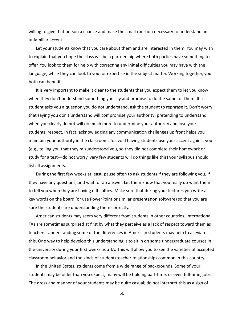willing to give that person a chance and make the small exertion necessary to understand an unfamiliar accent. 

Let your students know that you care about them and are interested in them. You may wish to explain that you hope the class will be a partnership where both parties have something to offer. You look to them for help with correcting any initial difficulties you may have with the language, while they can look to you for expertise in the subject matter. Working together, you both can benefit.

It is very important to make it clear to the students that you expect them to let you know when they don't understand something you say and promise to do the same for them. If a student asks you a question you do not understand, ask the student to rephrase it. Don't worry that saying you don't understand will compromise your authority; pretending to understand when you clearly do not will do much more to undermine your authority and lose your students' respect. In fact, acknowledging any communication challenges up front helps you maintain your authority in the classroom. To avoid having students use your accent against you (e.g., telling you that they misunderstood you, so they did not complete their homework or study for a test—do not worry, very few students will do things like this) your syllabus should list all assignments.

During the first few weeks at least, pause often to ask students if they are following you, if they have any questions, and wait for an answer. Let them know that you really do want them to tell you when they are having difficulties. Make sure that during your lectures you write all key words on the board (or use PowerPoint or similar presentation software) so that you are sure the students are understanding them correctly.

American students may seem very different from students in other countries. International TAs are sometimes surprised at first by what they perceive as a lack of respect toward them as teachers. Understanding some of the differences in American students may help to alleviate this. One way to help develop this understanding is to sit in on some undergraduate courses in the university during your first weeks as a TA. This will allow you to see the varieties of accepted classroom behavior and the kinds of student/teacher relationships common in this country.

In the United States, students come from a wide range of backgrounds. Some of your students may be older than you expect; many will be holding part-time, or even full-time, jobs. The dress and manner of your students may be quite casual; do not interpret this as a sign of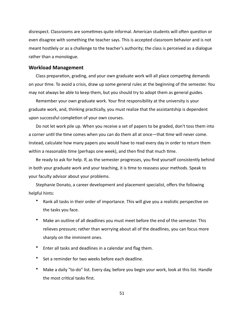disrespect. Classrooms are sometimes quite informal. American students will often question or even disagree with something the teacher says. This is accepted classroom behavior and is not meant hostilely or as a challenge to the teacher's authority; the class is perceived as a dialogue rather than a monologue.

#### <span id="page-54-0"></span>**Workload Management**

Class preparation, grading, and your own graduate work will all place competing demands on your time. To avoid a crisis, draw up some general rules at the beginning of the semester. You may not always be able to keep them, but you should try to adopt them as general guides.

Remember your own graduate work. Your first responsibility at the university is your graduate work, and, thinking practically, you must realize that the assistantship is dependent upon successful completion of your own courses.

Do not let work pile up. When you receive a set of papers to be graded, don't toss them into a corner until the time comes when you can do them all at once—that time will never come. Instead, calculate how many papers you would have to read every day in order to return them within a reasonable time (perhaps one week), and then find that much time.

Be ready to ask for help. If, as the semester progresses, you find yourself consistently behind in both your graduate work and your teaching, it is time to reassess your methods. Speak to your faculty advisor about your problems.

Stephanie Donato, a career development and placement specialist, offers the following helpful hints:

- Rank all tasks in their order of importance. This will give you a realistic perspective on the tasks you face.
- Make an outline of all deadlines you must meet before the end of the semester. This relieves pressure; rather than worrying about all of the deadlines, you can focus more sharply on the imminent ones.
- Enter all tasks and deadlines in a calendar and flag them.
- Set a reminder for two weeks before each deadline.
- Make a daily "to-do" list. Every day, before you begin your work, look at this list. Handle the most critical tasks first.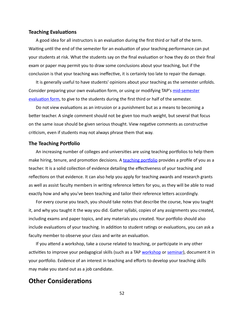#### <span id="page-55-0"></span>**Teaching Evaluations**

A good idea for all instructors is an evaluation during the first third or half of the term. Waiting until the end of the semester for an evaluation of your teaching performance can put your students at risk. What the students say on the final evaluation or how they do on their final exam or paper may permit you to draw some conclusions about your teaching, but if the conclusion is that your teaching was ineffective, it is certainly too late to repair the damage.

It is generally useful to have students' opinions about your teaching as the semester unfolds. Consider preparing your own evaluation form, or using or modifying TAP's mid-semester evaluation form, to give to the students during the first third or half of the semester.

Do not view evaluations as an intrusion or a punishment but as a means to becoming a better teacher. A single comment should not be given too much weight, but several that focus on the same issue should be given serious thought. View negative comments as constructive criticism, even if students may not always phrase them that way.

#### <span id="page-55-1"></span>**The Teaching Portfolio**

An increasing number of colleges and universities are using teaching portfolios to help them make hiring, tenure, and promotion decisions. A teaching portfolio provides a profile of you as a teacher. It is a solid collection of evidence detailing the effectiveness of your teaching and reflections on that evidence. It can also help you apply for teaching awards and research grants as well as assist faculty members in writing reference letters for you, as they will be able to read exactly how and why you've been teaching and tailor their reference letters accordingly.

For every course you teach, you should take notes that describe the course, how you taught it, and why you taught it the way you did. Gather syllabi, copies of any assignments you created, including exams and paper topics, and any materials you created. Your portfolio should also include evaluations of your teaching. In addition to student ratings or evaluations, you can ask a faculty member to observe your class and write an evaluation.

If you attend a workshop, take a course related to teaching, or participate in any other activities to improve your pedagogical skills (such as a TAP workshop or seminar), document it in your portfolio. Evidence of an interest in teaching and efforts to develop your teaching skills may make you stand out as a job candidate.

## <span id="page-55-2"></span>**Other Considerations**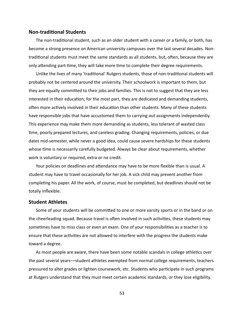#### <span id="page-56-0"></span>**Non-traditional Students**

The non-traditional student, such as an older student with a career or a family, or both, has become a strong presence on American university campuses over the last several decades. Nontraditional students must meet the same standards as all students, but, often, because they are only attending part-time, they will take more time to complete their degree requirements.

Unlike the lives of many 'traditional' Rutgers students, those of non-traditional students will probably not be centered around the university. Their schoolwork is important to them, but they are equally committed to their jobs and families. This is not to suggest that they are less interested in their education; for the most part, they are dedicated and demanding students, often more actively involved in their education than other students. Many of these students have responsible jobs that have accustomed them to carrying out assignments independently. This experience may make them more demanding as students, less tolerant of wasted class time, poorly prepared lectures, and careless grading. Changing requirements, policies, or due dates mid-semester, while never a good idea, could cause severe hardships for these students whose time is necessarily carefully budgeted. Always be clear about requirements, whether work is voluntary or required, extra or no credit.

Your policies on deadlines and attendance may have to be more flexible than is usual. A student may have to travel occasionally for her job. A sick child may prevent another from completing his paper. All the work, of course, must be completed, but deadlines should not be totally inflexible.

#### <span id="page-56-1"></span>**Student Athletes**

Some of your students will be committed to one or more varsity sports or in the band or on the cheerleading squad. Because travel is often involved in such activities, these students may sometimes have to miss class or even an exam. One of your responsibilities as a teacher is to ensure that these activities are not allowed to interfere with the progress the students make toward a degree.

As most people are aware, there have been some notable scandals in college athletics over the past several years—student athletes exempted from normal college requirements, teachers pressured to alter grades or lighten coursework, etc. Students who participate in such programs at Rutgers understand that they must meet certain academic standards, or they lose eligibility.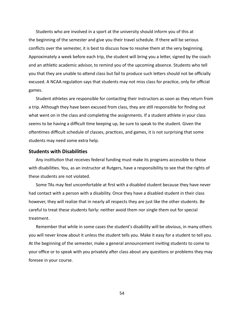Students who are involved in a sport at the university should inform you of this at the beginning of the semester and give you their travel schedule. If there will be serious conflicts over the semester, it is best to discuss how to resolve them at the very beginning. Approximately a week before each trip, the student will bring you a letter, signed by the coach and an athletic academic advisor, to remind you of the upcoming absence. Students who tell you that they are unable to attend class but fail to produce such letters should not be officially excused. A NCAA regulation says that students may not miss class for practice, only for official games. 

Student athletes are responsible for contacting their instructors as soon as they return from a trip. Although they have been excused from class, they are still responsible for finding out what went on in the class and completing the assignments. If a student athlete in your class seems to be having a difficult time keeping up, be sure to speak to the student. Given the oftentimes difficult schedule of classes, practices, and games, it is not surprising that some students may need some extra help.

#### <span id="page-57-0"></span>**Students with Disabilities**

Any institution that receives federal funding must make its programs accessible to those with disabilities. You, as an instructor at Rutgers, have a responsibility to see that the rights of these students are not violated.

Some TAs may feel uncomfortable at first with a disabled student because they have never had contact with a person with a disability. Once they have a disabled student in their class however, they will realize that in nearly all respects they are just like the other students. Be careful to treat these students fairly: neither avoid them nor single them out for special treatment. 

Remember that while in some cases the student's disability will be obvious, in many others you will never know about it unless the student tells you. Make it easy for a student to tell you. At the beginning of the semester, make a general announcement inviting students to come to your office or to speak with you privately after class about any questions or problems they may foresee in your course.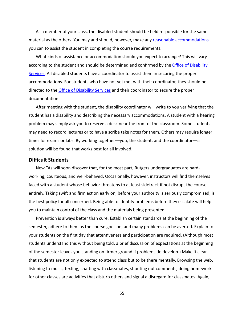As a member of your class, the disabled student should be held responsible for the same material as the others. You may and should, however, make any reasonable accommodations you can to assist the student in completing the course requirements.

What kinds of assistance or accommodation should you expect to arrange? This will vary according to the student and should be determined and confirmed by the *Office of Disability* [Services.](https://ods.rutgers.edu/) All disabled students have a coordinator to assist them in securing the proper accommodations. For students who have not yet met with their coordinator, they should be directed to the *Office of Disability Services* and their coordinator to secure the proper documentation.

After meeting with the student, the disability coordinator will write to you verifying that the student has a disability and describing the necessary accommodations. A student with a hearing problem may simply ask you to reserve a desk near the front of the classroom. Some students may need to record lectures or to have a scribe take notes for them. Others may require longer times for exams or labs. By working together—you, the student, and the coordinator—a solution will be found that works best for all involved.

#### <span id="page-58-0"></span>**Difficult Students**

New TAs will soon discover that, for the most part, Rutgers undergraduates are hardworking, courteous, and well-behaved. Occasionally, however, instructors will find themselves faced with a student whose behavior threatens to at least sidetrack if not disrupt the course entirely. Taking swift and firm action early on, before your authority is seriously compromised, is the best policy for all concerned. Being able to identify problems before they escalate will help you to maintain control of the class and the materials being presented.

Prevention is always better than cure. Establish certain standards at the beginning of the semester, adhere to them as the course goes on, and many problems can be averted. Explain to your students on the first day that attentiveness and participation are required. (Although most students understand this without being told, a brief discussion of expectations at the beginning of the semester leaves you standing on firmer ground if problems do develop.) Make it clear that students are not only expected to attend class but to be there mentally. Browsing the web, listening to music, texting, chatting with classmates, shouting out comments, doing homework for other classes are activities that disturb others and signal a disregard for classmates. Again,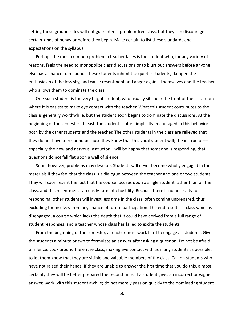setting these ground rules will not guarantee a problem-free class, but they can discourage certain kinds of behavior before they begin. Make certain to list these standards and expectations on the syllabus.

Perhaps the most common problem a teacher faces is the student who, for any variety of reasons, feels the need to monopolize class discussions or to blurt out answers before anyone else has a chance to respond. These students inhibit the quieter students, dampen the enthusiasm of the less shy, and cause resentment and anger against themselves and the teacher who allows them to dominate the class.

One such student is the very bright student, who usually sits near the front of the classroom where it is easiest to make eye contact with the teacher. What this student contributes to the class is generally worthwhile, but the student soon begins to dominate the discussions. At the beginning of the semester at least, the student is often implicitly encouraged in this behavior both by the other students and the teacher. The other students in the class are relieved that they do not have to respond because they know that this vocal student will; the instructorespecially the new and nervous instructor—will be happy that someone is responding, that questions do not fall flat upon a wall of silence.

Soon, however, problems may develop. Students will never become wholly engaged in the materials if they feel that the class is a dialogue between the teacher and one or two students. They will soon resent the fact that the course focuses upon a single student rather than on the class, and this resentment can easily turn into hostility. Because there is no necessity for responding, other students will invest less time in the class, often coming unprepared, thus excluding themselves from any chance of future participation. The end result is a class which is disengaged, a course which lacks the depth that it could have derived from a full range of student responses, and a teacher whose class has failed to excite the students.

From the beginning of the semester, a teacher must work hard to engage all students. Give the students a minute or two to formulate an answer after asking a question. Do not be afraid of silence. Look around the entire class, making eye contact with as many students as possible, to let them know that they are visible and valuable members of the class. Call on students who have not raised their hands. If they are unable to answer the first time that you do this, almost certainly they will be better prepared the second time. If a student gives an incorrect or vague answer, work with this student awhile; do not merely pass on quickly to the dominating student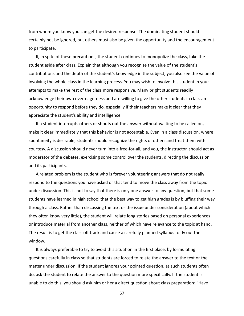from whom you know you can get the desired response. The dominating student should certainly not be ignored, but others must also be given the opportunity and the encouragement to participate.

If, in spite of these precautions, the student continues to monopolize the class, take the student aside after class. Explain that although you recognize the value of the student's contributions and the depth of the student's knowledge in the subject, you also see the value of involving the whole class in the learning process. You may wish to involve this student in your attempts to make the rest of the class more responsive. Many bright students readily acknowledge their own over-eagerness and are willing to give the other students in class an opportunity to respond before they do, especially if their teachers make it clear that they appreciate the student's ability and intelligence.

If a student interrupts others or shouts out the answer without waiting to be called on, make it clear immediately that this behavior is not acceptable. Even in a class discussion, where spontaneity is desirable, students should recognize the rights of others and treat them with courtesy. A discussion should never turn into a free-for-all, and you, the instructor, should act as moderator of the debates, exercising some control over the students, directing the discussion and its participants.

A related problem is the student who is forever volunteering answers that do not really respond to the questions you have asked or that tend to move the class away from the topic under discussion. This is not to say that there is only one answer to any question, but that some students have learned in high school that the best way to get high grades is by bluffing their way through a class. Rather than discussing the text or the issue under consideration (about which they often know very little), the student will relate long stories based on personal experiences or introduce material from another class, neither of which have relevance to the topic at hand. The result is to get the class off track and cause a carefully planned syllabus to fly out the window. 

It is always preferable to try to avoid this situation in the first place, by formulating questions carefully in class so that students are forced to relate the answer to the text or the matter under discussion. If the student ignores your pointed question, as such students often do, ask the student to relate the answer to the question more specifically. If the student is unable to do this, you should ask him or her a direct question about class preparation: "Have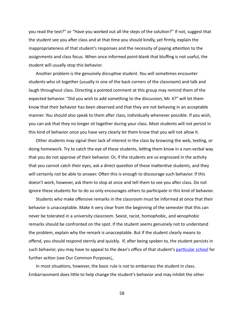you read the text?" or "Have you worked out all the steps of the solution?" If not, suggest that the student see you after class and at that time you should kindly, yet firmly, explain the inappropriateness of that student's responses and the necessity of paying attention to the assignments and class focus. When once informed point-blank that bluffing is not useful, the student will usually stop this behavior.

Another problem is the genuinely disruptive student. You will sometimes encounter students who sit together (usually in one of the back corners of the classroom) and talk and laugh throughout class. Directing a pointed comment at this group may remind them of the expected behavior. "Did you wish to add something to the discussion, Mr. X?" will let them know that their behavior has been observed and that they are not behaving in an acceptable manner. You should also speak to them after class, individually whenever possible. If you wish, you can ask that they no longer sit together during your class. Most students will not persist in this kind of behavior once you have very clearly let them know that you will not allow it.

Other students may signal their lack of interest in the class by browsing the web, texting, or doing homework. Try to catch the eye of these students, letting them know in a non-verbal way that you do not approve of their behavior. Or, if the students are so engrossed in the activity that you cannot catch their eyes, ask a direct question of these inattentive students, and they will certainly not be able to answer. Often this is enough to discourage such behavior. If this doesn't work, however, ask them to stop at once and tell them to see you after class. Do not ignore these students for to do so only encourages others to participate in this kind of behavior.

Students who make offensive remarks in the classroom must be informed at once that their behavior is unacceptable. Make it very clear from the beginning of the semester that this can never be tolerated in a university classroom. Sexist, racist, homophobic, and xenophobic remarks should be confronted on the spot. If the student seems genuinely not to understand the problem, explain why the remark is unacceptable. But if the student clearly means to offend, you should respond sternly and quickly. If, after being spoken to, the student persists in such behavior, you may have to appeal to the dean's office of that student's particular school for further action (see Our Common Purposes).

In most situations, however, the basic rule is not to embarrass the student in class. Embarrassment does little to help change the student's behavior and may inhibit the other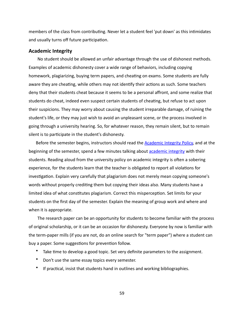members of the class from contributing. Never let a student feel 'put down' as this intimidates and usually turns off future participation.

#### <span id="page-62-0"></span>**Academic Integrity**

No student should be allowed an unfair advantage through the use of dishonest methods. Examples of academic dishonesty cover a wide range of behaviors, including copying homework, plagiarizing, buying term papers, and cheating on exams. Some students are fully aware they are cheating, while others may not identify their actions as such. Some teachers deny that their students cheat because it seems to be a personal affront, and some realize that students do cheat, indeed even suspect certain students of cheating, but refuse to act upon their suspicions. They may worry about causing the student irreparable damage, of ruining the student's life, or they may just wish to avoid an unpleasant scene, or the process involved in going through a university hearing. So, for whatever reason, they remain silent, but to remain silent is to participate in the student's dishonesty.

Before the semester begins, instructors should read the **Academic Integrity Policy**, and at the beginning of the semester, spend a few minutes talking about academic integrity with their students. Reading aloud from the university policy on academic integrity is often a sobering experience, for the students learn that the teacher is obligated to report all violations for investigation. Explain very carefully that plagiarism does not merely mean copying someone's words without properly crediting them but copying their ideas also. Many students have a limited idea of what constitutes plagiarism. Correct this misperception. Set limits for your students on the first day of the semester. Explain the meaning of group work and where and when it is appropriate.

The research paper can be an opportunity for students to become familiar with the process of original scholarship, or it can be an occasion for dishonesty. Everyone by now is familiar with the term-paper mills (if you are not, do an online search for "term paper") where a student can buy a paper. Some suggestions for prevention follow.

- Take time to develop a good topic. Set very definite parameters to the assignment.
- Don't use the same essay topics every semester.
- If practical, insist that students hand in outlines and working bibliographies.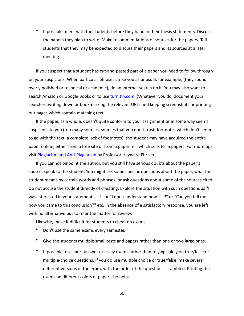If possible, meet with the students before they hand in their thesis statements. Discuss the papers they plan to write. Make recommendations of sources for the papers. Tell students that they may be expected to discuss their papers and its sources at a later meeting.

If you suspect that a student has cut-and-pasted part of a paper you need to follow through on your suspicions. When particular phrases strike you as unusual, for example, (they sound overly polished or technical or academic), do an Internet search on it. You may also want to search Amazon or Google Books or to use turnitin.com. (Whatever you do, document your searches, writing down or bookmarking the relevant URLs and keeping screenshots or printing out pages which contain matching text.

If the paper, as a whole, doesn't quite conform to your assignment or in some way seems suspicious to you (too many sources, sources that you don't trust, footnotes which don't seem to go with the text, a complete lack of footnotes), the student may have acquired the entire paper online, either from a free site or from a paper mill which sells term papers. For more tips, visit Plagiarism and Anti-Plagiarism by Professor Heyward Ehrlich.

If you cannot pinpoint the author, but you still have serious doubts about the paper's source, speak to the student. You might ask some specific questions about the paper, what the student means by certain words and phrases, or ask questions about some of the sources cited. Do not accuse the student directly of cheating. Explore the situation with such questions as "I was interested in your statement . . .?" or "I don't understand how . . .?" or "Can you tell me how you came to this conclusion?" etc. In the absence of a satisfactory response, you are left with no alternative but to refer the matter for review.

Likewise, make it difficult for students to cheat on exams.

- Don't use the same exams every semester.
- Give the students multiple small tests and papers rather than one or two large ones.
- If possible, use short answer or essay exams rather than relying solely on true/false or multiple-choice questions. If you do use multiple choice or true/false, make several different versions of the exam, with the order of the questions scrambled. Printing the exams on different colors of paper also helps.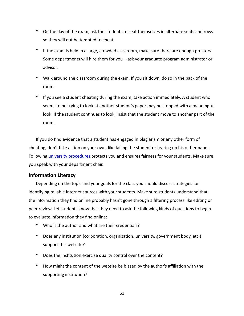- On the day of the exam, ask the students to seat themselves in alternate seats and rows so they will not be tempted to cheat.
- If the exam is held in a large, crowded classroom, make sure there are enough proctors. Some departments will hire them for you—ask your graduate program administrator or advisor.
- Walk around the classroom during the exam. If you sit down, do so in the back of the room.
- If you see a student cheating during the exam, take action immediately. A student who seems to be trying to look at another student's paper may be stopped with a meaningful look. If the student continues to look, insist that the student move to another part of the room.

If you do find evidence that a student has engaged in plagiarism or any other form of cheating, don't take action on your own, like failing the student or tearing up his or her paper. Following *university procedures* protects you and ensures fairness for your students. Make sure you speak with your department chair.

#### <span id="page-64-0"></span>**Information Literacy**

Depending on the topic and your goals for the class you should discuss strategies for identifying reliable Internet sources with your students. Make sure students understand that the information they find online probably hasn't gone through a filtering process like editing or peer review. Let students know that they need to ask the following kinds of questions to begin to evaluate information they find online:

- Who is the author and what are their credentials?
- Does any institution (corporation, organization, university, government body, etc.) support this website?
- Does the institution exercise quality control over the content?
- How might the content of the website be biased by the author's affiliation with the supporting institution?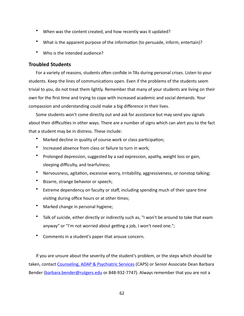- When was the content created, and how recently was it updated?
- What is the apparent purpose of the information (to persuade, inform, entertain)?
- Who is the intended audience?

#### <span id="page-65-0"></span>**Troubled Students**

For a variety of reasons, students often confide in TAs during personal crises. Listen to your students. Keep the lines of communications open. Even if the problems of the students seem trivial to you, do not treat them lightly. Remember that many of your students are living on their own for the first time and trying to cope with increased academic and social demands. Your compassion and understanding could make a big difference in their lives.

Some students won't come directly out and ask for assistance but may send you signals about their difficulties in other ways. There are a number of signs which can alert you to the fact that a student may be in distress. These include:

- Marked decline in quality of course work or class participation;
- Increased absence from class or failure to turn in work;
- Prolonged depression, suggested by a sad expression, apathy, weight loss or gain, sleeping difficulty, and tearfulness;
- Nervousness, agitation, excessive worry, irritability, aggressiveness, or nonstop talking;
- Bizarre, strange behavior or speech;
- Extreme dependency on faculty or staff, including spending much of their spare time visiting during office hours or at other times;
- Marked change in personal hygiene;
- Talk of suicide, either directly or indirectly such as, "I won't be around to take that exam anyway" or "I'm not worried about getting a job, I won't need one.";
- Comments in a student's paper that arouse concern.

If you are unsure about the severity of the student's problem, or the steps which should be taken, contact Counseling, ADAP & Psychiatric Services (CAPS) or Senior Associate Dean Barbara Bender (barbara.bender@rutgers.edu or 848-932-7747). Always remember that you are not a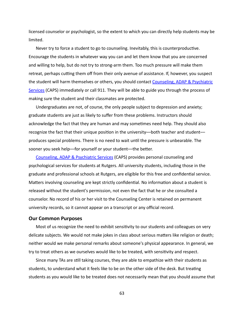licensed counselor or psychologist, so the extent to which you can directly help students may be limited. 

Never try to force a student to go to counseling. Inevitably, this is counterproductive. Encourage the students in whatever way you can and let them know that you are concerned and willing to help, but do not try to strong-arm them. Too much pressure will make them retreat, perhaps cutting them off from their only avenue of assistance. If, however, you suspect the student will harm themselves or others, you should contact Counseling, ADAP & Psychiatric Services (CAPS) immediately or call 911. They will be able to guide you through the process of making sure the student and their classmates are protected.

Undergraduates are not, of course, the only people subject to depression and anxiety; graduate students are just as likely to suffer from these problems. Instructors should acknowledge the fact that they are human and may sometimes need help. They should also recognize the fact that their unique position in the university—both teacher and student produces special problems. There is no need to wait until the pressure is unbearable. The sooner you seek help--for yourself or your student--the better.

Counseling, ADAP & Psychiatric Services (CAPS) provides personal counseling and psychological services for students at Rutgers. All university students, including those in the graduate and professional schools at Rutgers, are eligible for this free and confidential service. Matters involving counseling are kept strictly confidential. No information about a student is released without the student's permission, not even the fact that he or she consulted a counselor. No record of his or her visit to the Counseling Center is retained on permanent university records, so it cannot appear on a transcript or any official record.

#### <span id="page-66-1"></span><span id="page-66-0"></span>**Our Common Purposes**

Most of us recognize the need to exhibit sensitivity to our students and colleagues on very delicate subjects. We would not make jokes in class about serious matters like religion or death; neither would we make personal remarks about someone's physical appearance. In general, we try to treat others as we ourselves would like to be treated, with sensitivity and respect.

Since many TAs are still taking courses, they are able to empathize with their students as students, to understand what it feels like to be on the other side of the desk. But treating students as you would like to be treated does not necessarily mean that you should assume that